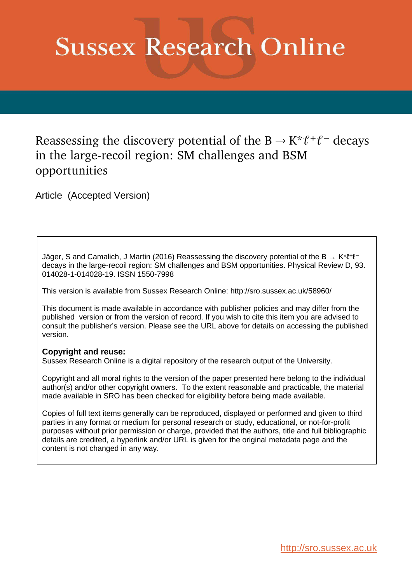# **Sussex Research Online**

# Reassessing the discovery potential of the  $B \to K^* \ell^+ \ell^-$  decays in the large-recoil region: SM challenges and BSM opportunities

Article (Accepted Version)

Jäger, S and Camalich, J Martin (2016) Reassessing the discovery potential of the B  $\rightarrow K^* \ell^+ \ell^$ decays in the large-recoil region: SM challenges and BSM opportunities. Physical Review D, 93. 014028-1-014028-19. ISSN 1550-7998

This version is available from Sussex Research Online: http://sro.sussex.ac.uk/58960/

This document is made available in accordance with publisher policies and may differ from the published version or from the version of record. If you wish to cite this item you are advised to consult the publisher's version. Please see the URL above for details on accessing the published version.

# **Copyright and reuse:**

Sussex Research Online is a digital repository of the research output of the University.

Copyright and all moral rights to the version of the paper presented here belong to the individual author(s) and/or other copyright owners. To the extent reasonable and practicable, the material made available in SRO has been checked for eligibility before being made available.

Copies of full text items generally can be reproduced, displayed or performed and given to third parties in any format or medium for personal research or study, educational, or not-for-profit purposes without prior permission or charge, provided that the authors, title and full bibliographic details are credited, a hyperlink and/or URL is given for the original metadata page and the content is not changed in any way.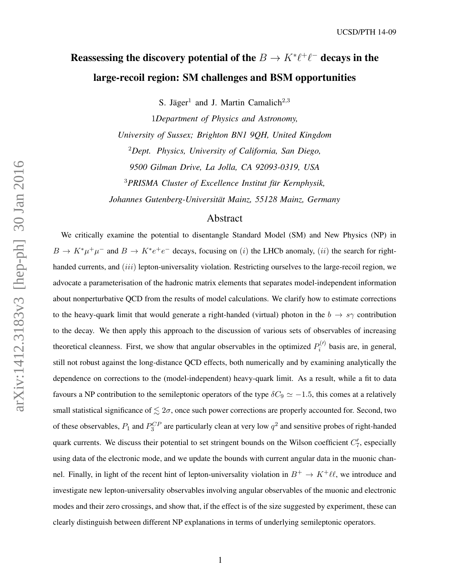# Reassessing the discovery potential of the  $B \to K^* \ell^+ \ell^-$  decays in the large-recoil region: SM challenges and BSM opportunities

S. Jäger<sup>1</sup> and J. Martin Camalich<sup>2,3</sup>

1*Department of Physics and Astronomy, University of Sussex; Brighton BN1 9QH, United Kingdom* <sup>2</sup>*Dept. Physics, University of California, San Diego, 9500 Gilman Drive, La Jolla, CA 92093-0319, USA* <sup>3</sup>*PRISMA Cluster of Excellence Institut fur Kernphysik, ¨ Johannes Gutenberg-Universitat Mainz, 55128 Mainz, Germany ¨*

## Abstract

We critically examine the potential to disentangle Standard Model (SM) and New Physics (NP) in  $B \to K^* \mu^+ \mu^-$  and  $B \to K^* e^+ e^-$  decays, focusing on (i) the LHCb anomaly, (ii) the search for righthanded currents, and *(iii)* lepton-universality violation. Restricting ourselves to the large-recoil region, we advocate a parameterisation of the hadronic matrix elements that separates model-independent information about nonperturbative QCD from the results of model calculations. We clarify how to estimate corrections to the heavy-quark limit that would generate a right-handed (virtual) photon in the  $b \to s\gamma$  contribution to the decay. We then apply this approach to the discussion of various sets of observables of increasing theoretical cleanness. First, we show that angular observables in the optimized  $P_i^{(l)}$  $b_i^{(1)}$  basis are, in general, still not robust against the long-distance QCD effects, both numerically and by examining analytically the dependence on corrections to the (model-independent) heavy-quark limit. As a result, while a fit to data favours a NP contribution to the semileptonic operators of the type  $\delta C_9 \simeq -1.5$ , this comes at a relatively small statistical significance of  $\leq 2\sigma$ , once such power corrections are properly accounted for. Second, two of these observables,  $P_1$  and  $P_3^{CP}$  are particularly clean at very low  $q^2$  and sensitive probes of right-handed quark currents. We discuss their potential to set stringent bounds on the Wilson coefficient  $C'_7$ , especially using data of the electronic mode, and we update the bounds with current angular data in the muonic channel. Finally, in light of the recent hint of lepton-universality violation in  $B^+ \to K^+ \ell \ell$ , we introduce and investigate new lepton-universality observables involving angular observables of the muonic and electronic modes and their zero crossings, and show that, if the effect is of the size suggested by experiment, these can clearly distinguish between different NP explanations in terms of underlying semileptonic operators.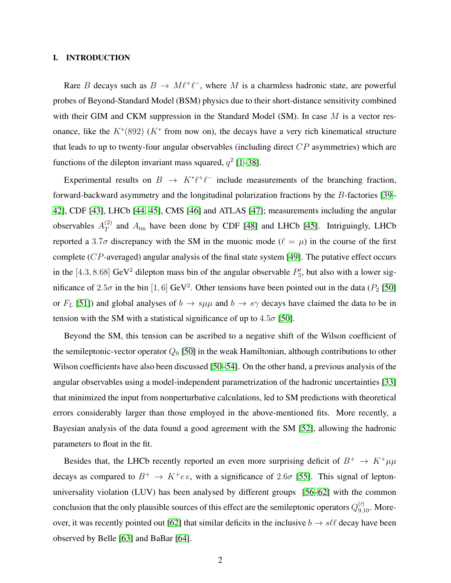#### I. INTRODUCTION

Rare B decays such as  $B \to M \ell^+ \ell^-$ , where M is a charmless hadronic state, are powerful probes of Beyond-Standard Model (BSM) physics due to their short-distance sensitivity combined with their GIM and CKM suppression in the Standard Model (SM). In case  $M$  is a vector resonance, like the  $K^*(892)$  ( $K^*$  from now on), the decays have a very rich kinematical structure that leads to up to twenty-four angular observables (including direct  $CP$  asymmetries) which are functions of the dilepton invariant mass squared,  $q^2$  [\[1](#page-34-0)[–38\]](#page-35-0).

Experimental results on  $B \to K^* \ell^+ \ell^-$  include measurements of the branching fraction, forward-backward asymmetry and the longitudinal polarization fractions by the B-factories [\[39–](#page-35-1) [42\]](#page-35-2), CDF [\[43\]](#page-35-3), LHCb [\[44,](#page-35-4) [45\]](#page-36-0), CMS [\[46\]](#page-36-1) and ATLAS [\[47\]](#page-36-2); measurements including the angular observables  $A_T^{(2)}$  $T$  and  $A_{\text{im}}$  have been done by CDF [\[48\]](#page-36-3) and LHCb [\[45\]](#page-36-0). Intriguingly, LHCb reported a 3.7 $\sigma$  discrepancy with the SM in the muonic mode ( $\ell = \mu$ ) in the course of the first complete  $(CP$ -averaged) angular analysis of the final state system [\[49\]](#page-36-4). The putative effect occurs in the [4.3, 8.68] GeV<sup>2</sup> dilepton mass bin of the angular observable  $P'_5$ , but also with a lower significance of 2.5 $\sigma$  in the bin [1, 6] GeV<sup>2</sup>. Other tensions have been pointed out in the data ( $P_2$  [\[50\]](#page-36-5) or  $F_L$  [\[51\]](#page-36-6)) and global analyses of  $b \to s\mu\mu$  and  $b \to s\gamma$  decays have claimed the data to be in tension with the SM with a statistical significance of up to  $4.5\sigma$  [\[50\]](#page-36-5).

Beyond the SM, this tension can be ascribed to a negative shift of the Wilson coefficient of the semileptonic-vector operator  $Q_9$  [\[50\]](#page-36-5) in the weak Hamiltonian, although contributions to other Wilson coefficients have also been discussed [\[50](#page-36-5)[–54\]](#page-36-7). On the other hand, a previous analysis of the angular observables using a model-independent parametrization of the hadronic uncertainties [\[33\]](#page-35-5) that minimized the input from nonperturbative calculations, led to SM predictions with theoretical errors considerably larger than those employed in the above-mentioned fits. More recently, a Bayesian analysis of the data found a good agreement with the SM [\[52\]](#page-36-8), allowing the hadronic parameters to float in the fit.

<span id="page-2-0"></span>Besides that, the LHCb recently reported an even more surprising deficit of  $B^+ \to K^+ \mu \mu$ decays as compared to  $B^+ \to K^+e^-e$ , with a significance of 2.6 $\sigma$  [\[55\]](#page-36-9). This signal of leptonuniversality violation (LUV) has been analysed by different groups [\[56](#page-36-10)[–62\]](#page-36-11) with the common conclusion that the only plausible sources of this effect are the semileptonic operators  $Q_{9,10}^{(\prime)}$ . More-over, it was recently pointed out [\[62\]](#page-36-11) that similar deficits in the inclusive  $b \to s \ell \ell$  decay have been observed by Belle [\[63\]](#page-36-12) and BaBar [\[64\]](#page-36-13).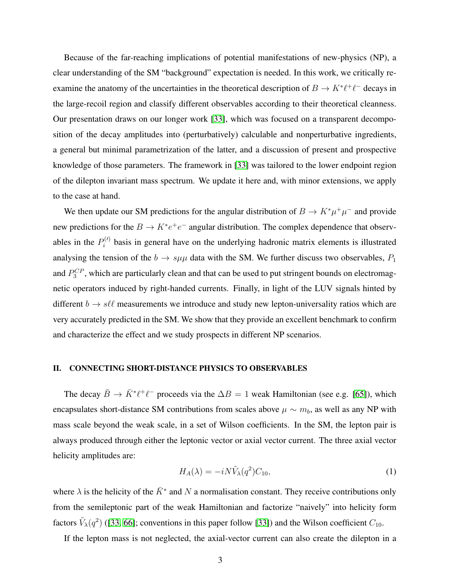Because of the far-reaching implications of potential manifestations of new-physics (NP), a clear understanding of the SM "background" expectation is needed. In this work, we critically reexamine the anatomy of the uncertainties in the theoretical description of  $B \to K^* \ell^+ \ell^-$  decays in the large-recoil region and classify different observables according to their theoretical cleanness. Our presentation draws on our longer work [\[33\]](#page-35-5), which was focused on a transparent decomposition of the decay amplitudes into (perturbatively) calculable and nonperturbative ingredients, a general but minimal parametrization of the latter, and a discussion of present and prospective knowledge of those parameters. The framework in [\[33\]](#page-35-5) was tailored to the lower endpoint region of the dilepton invariant mass spectrum. We update it here and, with minor extensions, we apply to the case at hand.

<span id="page-3-1"></span>We then update our SM predictions for the angular distribution of  $B \to K^* \mu^+ \mu^-$  and provide new predictions for the  $B \to K^* e^+ e^-$  angular distribution. The complex dependence that observables in the  $P_i^{(l)}$  $\mathbf{e}_{i}^{(v)}$  basis in general have on the underlying hadronic matrix elements is illustrated analysing the tension of the  $b \to s\mu\mu$  data with the SM. We further discuss two observables,  $P_1$ and  $P_3^{CP}$ , which are particularly clean and that can be used to put stringent bounds on electromagnetic operators induced by right-handed currents. Finally, in light of the LUV signals hinted by different  $b \to s\ell\ell$  measurements we introduce and study new lepton-universality ratios which are very accurately predicted in the SM. We show that they provide an excellent benchmark to confirm and characterize the effect and we study prospects in different NP scenarios.

#### II. CONNECTING SHORT-DISTANCE PHYSICS TO OBSERVABLES

The decay  $\bar{B} \to \bar{K}^* \ell^+ \ell^-$  proceeds via the  $\Delta B = 1$  weak Hamiltonian (see e.g. [\[65\]](#page-36-14)), which encapsulates short-distance SM contributions from scales above  $\mu \sim m_b$ , as well as any NP with mass scale beyond the weak scale, in a set of Wilson coefficients. In the SM, the lepton pair is always produced through either the leptonic vector or axial vector current. The three axial vector helicity amplitudes are:

$$
H_A(\lambda) = -i N \tilde{V}_{\lambda}(q^2) C_{10},\tag{1}
$$

<span id="page-3-2"></span><span id="page-3-0"></span>where  $\lambda$  is the helicity of the  $\bar{K}^*$  and N a normalisation constant. They receive contributions only from the semileptonic part of the weak Hamiltonian and factorize "naively" into helicity form factors  $\tilde{V}_\lambda(q^2)$  ([\[33,](#page-35-5) [66\]](#page-36-15); conventions in this paper follow [\[33\]](#page-35-5)) and the Wilson coefficient  $C_{10}$ .

If the lepton mass is not neglected, the axial-vector current can also create the dilepton in a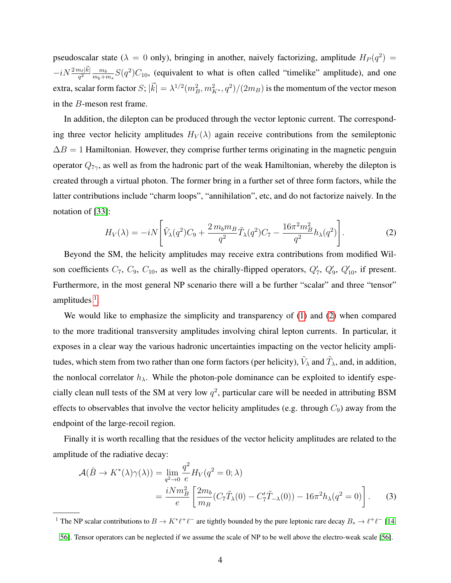<span id="page-4-0"></span>pseudoscalar state ( $\lambda = 0$  only), bringing in another, naively factorizing, amplitude  $H_P(q^2)$  =  $-iN\frac{2\,m_\ell |\vec k|}{q^2}\frac{m_b}{m_b+\eta}$  $\frac{m_b}{m_b+m_s}S(q^2)C_{10}$ , (equivalent to what is often called "timelike" amplitude), and one extra, scalar form factor  $S$ ;  $|\vec{k}|=\lambda^{1/2}(m_B^2,m_{K^*}^2,q^2)/(2m_B)$  is the momentum of the vector meson in the B-meson rest frame.

In addition, the dilepton can be produced through the vector leptonic current. The corresponding three vector helicity amplitudes  $H_V(\lambda)$  again receive contributions from the semileptonic  $\Delta B = 1$  Hamiltonian. However, they comprise further terms originating in the magnetic penguin operator  $Q_{7\gamma}$ , as well as from the hadronic part of the weak Hamiltonian, whereby the dilepton is created through a virtual photon. The former bring in a further set of three form factors, while the latter contributions include "charm loops", "annihilation", etc, and do not factorize naively. In the notation of [\[33\]](#page-35-5):

$$
H_V(\lambda) = -iN \left[ \tilde{V}_{\lambda}(q^2) C_9 + \frac{2 \, m_b m_B}{q^2} \tilde{T}_{\lambda}(q^2) C_7 - \frac{16 \pi^2 m_B^2}{q^2} h_{\lambda}(q^2) \right]. \tag{2}
$$

Beyond the SM, the helicity amplitudes may receive extra contributions from modified Wilson coefficients  $C_7$ ,  $C_9$ ,  $C_{10}$ , as well as the chirally-flipped operators,  $Q'_7$ ,  $Q'_9$ ,  $Q'_{10}$ , if present. Furthermore, in the most general NP scenario there will a be further "scalar" and three "tensor" amplitudes  $<sup>1</sup>$  $<sup>1</sup>$  $<sup>1</sup>$ .</sup>

We would like to emphasize the simplicity and transparency of [\(1\)](#page-2-0) and [\(2\)](#page-3-1) when compared to the more traditional transversity amplitudes involving chiral lepton currents. In particular, it exposes in a clear way the various hadronic uncertainties impacting on the vector helicity amplitudes, which stem from two rather than one form factors (per helicity),  $\tilde{V}_\lambda$  and  $\tilde{T}_\lambda$ , and, in addition, the nonlocal correlator  $h_{\lambda}$ . While the photon-pole dominance can be exploited to identify especially clean null tests of the SM at very low  $q^2$ , particular care will be needed in attributing BSM effects to observables that involve the vector helicity amplitudes (e.g. through  $C_9$ ) away from the endpoint of the large-recoil region.

Finally it is worth recalling that the residues of the vector helicity amplitudes are related to the amplitude of the radiative decay:

$$
\mathcal{A}(\bar{B} \to K^*(\lambda)\gamma(\lambda)) = \lim_{q^2 \to 0} \frac{q^2}{e} H_V(q^2 = 0; \lambda)
$$
  
= 
$$
\frac{iNm_B^2}{e} \left[ \frac{2m_b}{m_B} (C_7 \tilde{T}_{\lambda}(0) - C_7' \tilde{T}_{-\lambda}(0)) - 16\pi^2 h_{\lambda}(q^2 = 0) \right].
$$
 (3)

<sup>1</sup> The NP scalar contributions to  $B \to K^* \ell^+ \ell^-$  are tightly bounded by the pure leptonic rare decay  $B_s \to \ell^+ \ell^-$  [\[14,](#page-34-1)

[<sup>56\]</sup>](#page-36-10). Tensor operators can be neglected if we assume the scale of NP to be well above the electro-weak scale [\[56\]](#page-36-10).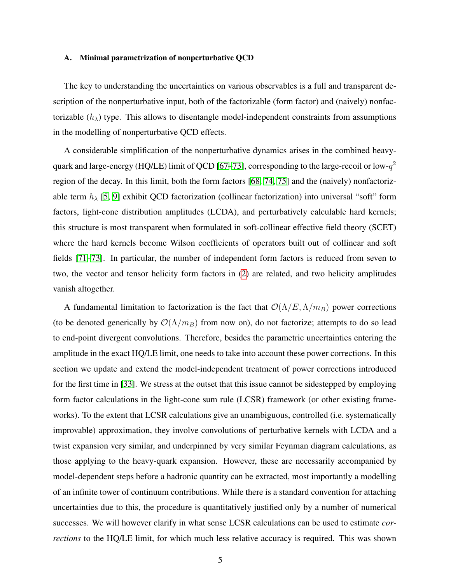#### A. Minimal parametrization of nonperturbative QCD

<span id="page-5-5"></span>The key to understanding the uncertainties on various observables is a full and transparent description of the nonperturbative input, both of the factorizable (form factor) and (naively) nonfactorizable  $(h_{\lambda})$  type. This allows to disentangle model-independent constraints from assumptions in the modelling of nonperturbative QCD effects.

<span id="page-5-0"></span>A considerable simplification of the nonperturbative dynamics arises in the combined heavy-quark and large-energy (HQ/LE) limit of QCD [\[67–](#page-36-16)[73\]](#page-37-0), corresponding to the large-recoil or low- $q^2$ region of the decay. In this limit, both the form factors [\[68,](#page-36-17) [74,](#page-37-1) [75\]](#page-37-2) and the (naively) nonfactorizable term  $h_{\lambda}$  [\[5,](#page-34-2) [9\]](#page-34-3) exhibit QCD factorization (collinear factorization) into universal "soft" form factors, light-cone distribution amplitudes (LCDA), and perturbatively calculable hard kernels; this structure is most transparent when formulated in soft-collinear effective field theory (SCET) where the hard kernels become Wilson coefficients of operators built out of collinear and soft fields [\[71–](#page-37-3)[73\]](#page-37-0). In particular, the number of independent form factors is reduced from seven to two, the vector and tensor helicity form factors in [\(2\)](#page-3-1) are related, and two helicity amplitudes vanish altogether.

<span id="page-5-4"></span><span id="page-5-3"></span><span id="page-5-2"></span><span id="page-5-1"></span>A fundamental limitation to factorization is the fact that  $\mathcal{O}(\Lambda/E, \Lambda/m_B)$  power corrections (to be denoted generically by  $\mathcal{O}(\Lambda/m_B)$  from now on), do not factorize; attempts to do so lead to end-point divergent convolutions. Therefore, besides the parametric uncertainties entering the amplitude in the exact HQ/LE limit, one needs to take into account these power corrections. In this section we update and extend the model-independent treatment of power corrections introduced for the first time in [\[33\]](#page-35-5). We stress at the outset that this issue cannot be sidestepped by employing form factor calculations in the light-cone sum rule (LCSR) framework (or other existing frameworks). To the extent that LCSR calculations give an unambiguous, controlled (i.e. systematically improvable) approximation, they involve convolutions of perturbative kernels with LCDA and a twist expansion very similar, and underpinned by very similar Feynman diagram calculations, as those applying to the heavy-quark expansion. However, these are necessarily accompanied by model-dependent steps before a hadronic quantity can be extracted, most importantly a modelling of an infinite tower of continuum contributions. While there is a standard convention for attaching uncertainties due to this, the procedure is quantitatively justified only by a number of numerical successes. We will however clarify in what sense LCSR calculations can be used to estimate *corrections* to the HQ/LE limit, for which much less relative accuracy is required. This was shown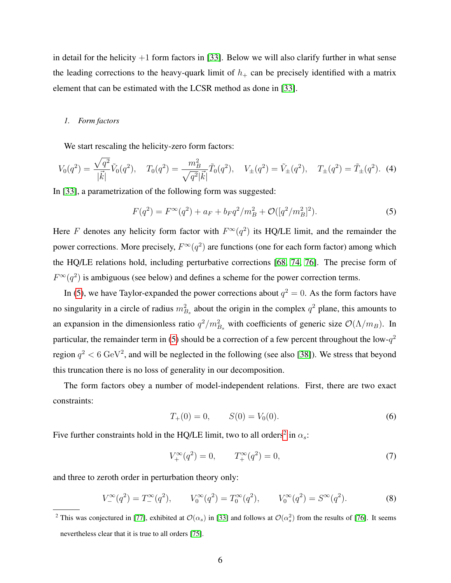in detail for the helicity  $+1$  form factors in [\[33\]](#page-35-5). Below we will also clarify further in what sense the leading corrections to the heavy-quark limit of  $h_{+}$  can be precisely identified with a matrix element that can be estimated with the LCSR method as done in [\[33\]](#page-35-5).

#### *1. Form factors*

We start rescaling the helicity-zero form factors:

$$
V_0(q^2) = \frac{\sqrt{q^2}}{|\vec{k}|} \tilde{V}_0(q^2), \quad T_0(q^2) = \frac{m_B^2}{\sqrt{q^2} |\vec{k}|} \tilde{T}_0(q^2), \quad V_{\pm}(q^2) = \tilde{V}_{\pm}(q^2), \quad T_{\pm}(q^2) = \tilde{T}_{\pm}(q^2). \tag{4}
$$

In [\[33\]](#page-35-5), a parametrization of the following form was suggested:

<span id="page-6-2"></span>
$$
F(q^2) = F^{\infty}(q^2) + a_F + b_F q^2 / m_B^2 + \mathcal{O}([q^2/m_B^2]^2).
$$
 (5)

Here F denotes any helicity form factor with  $F^{\infty}(q^2)$  its HQ/LE limit, and the remainder the power corrections. More precisely,  $F^{\infty}(q^2)$  are functions (one for each form factor) among which the HQ/LE relations hold, including perturbative corrections [\[68,](#page-36-17) [74,](#page-37-1) [76\]](#page-37-4). The precise form of  $F^{\infty}(q^2)$  is ambiguous (see below) and defines a scheme for the power correction terms.

In [\(5\)](#page-5-0), we have Taylor-expanded the power corrections about  $q^2 = 0$ . As the form factors have no singularity in a circle of radius  $m_{B_s}^2$  about the origin in the complex  $q^2$  plane, this amounts to an expansion in the dimensionless ratio  $q^2/m_{B_s}^2$  with coefficients of generic size  $\mathcal{O}(\Lambda/m_B)$ . In particular, the remainder term in [\(5\)](#page-5-0) should be a correction of a few percent throughout the low- $q^2$ region  $q^2 < 6 \text{ GeV}^2$ , and will be neglected in the following (see also [\[38\]](#page-35-0)). We stress that beyond this truncation there is no loss of generality in our decomposition.

<span id="page-6-1"></span>The form factors obey a number of model-independent relations. First, there are two exact constraints:

$$
T_+(0) = 0, \t S(0) = V_0(0). \t (6)
$$

Five further constraints hold in the HQ/LE limit, two to all orders<sup>[2](#page-5-1)</sup> in  $\alpha_s$ :

$$
V_+^{\infty}(q^2) = 0, \qquad T_+^{\infty}(q^2) = 0,
$$
\n(7)

<span id="page-6-0"></span>and three to zeroth order in perturbation theory only:

$$
V^{\infty}(q^2) = T^{\infty}(q^2), \qquad V^{\infty}_0(q^2) = T^{\infty}_0(q^2), \qquad V^{\infty}_0(q^2) = S^{\infty}(q^2). \tag{8}
$$

<sup>&</sup>lt;sup>2</sup> This was conjectured in [\[77\]](#page-37-5), exhibited at  $\mathcal{O}(\alpha_s)$  in [\[33\]](#page-35-5) and follows at  $\mathcal{O}(\alpha_s^2)$  from the results of [\[76\]](#page-37-4). It seems nevertheless clear that it is true to all orders [\[75\]](#page-37-2).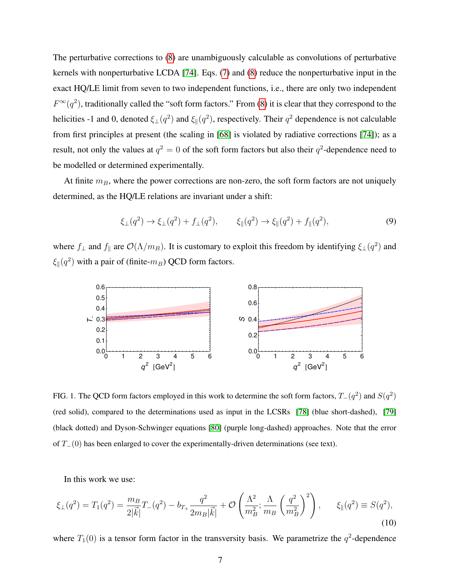<span id="page-7-4"></span><span id="page-7-1"></span>The perturbative corrections to [\(8\)](#page-5-2) are unambiguously calculable as convolutions of perturbative kernels with nonperturbative LCDA [\[74\]](#page-37-1). Eqs. [\(7\)](#page-5-3) and [\(8\)](#page-5-2) reduce the nonperturbative input in the exact HQ/LE limit from seven to two independent functions, i.e., there are only two independent  $F^{\infty}(q^2)$ , traditionally called the "soft form factors." From [\(8\)](#page-5-2) it is clear that they correspond to the helicities -1 and 0, denoted  $\xi_{\perp}(q^2)$  and  $\xi_{\parallel}(q^2)$ , respectively. Their  $q^2$  dependence is not calculable from first principles at present (the scaling in [\[68\]](#page-36-17) is violated by radiative corrections [\[74\]](#page-37-1)); as a result, not only the values at  $q^2 = 0$  of the soft form factors but also their  $q^2$ -dependence need to be modelled or determined experimentally.

At finite  $m_B$ , where the power corrections are non-zero, the soft form factors are not uniquely determined, as the HQ/LE relations are invariant under a shift:

<span id="page-7-3"></span>
$$
\xi_{\perp}(q^2) \to \xi_{\perp}(q^2) + f_{\perp}(q^2), \qquad \xi_{\parallel}(q^2) \to \xi_{\parallel}(q^2) + f_{\parallel}(q^2), \tag{9}
$$

where  $f_{\perp}$  and  $f_{\parallel}$  are  $\mathcal{O}(\Lambda/m_B)$ . It is customary to exploit this freedom by identifying  $\xi_{\perp}(q^2)$  and  $\xi_{\parallel}(q^2)$  with a pair of (finite- $m_B$ ) QCD form factors.



FIG. 1. The QCD form factors employed in this work to determine the soft form factors,  $T_-(q^2)$  and  $S(q^2)$ (red solid), compared to the determinations used as input in the LCSRs [\[78\]](#page-37-6) (blue short-dashed), [\[79\]](#page-37-7) (black dotted) and Dyson-Schwinger equations [\[80\]](#page-37-8) (purple long-dashed) approaches. Note that the error of  $T_-(0)$  has been enlarged to cover the experimentally-driven determinations (see text).

<span id="page-7-2"></span><span id="page-7-0"></span>In this work we use:

$$
\xi_{\perp}(q^2) = T_1(q^2) = \frac{m_B}{2|\vec{k}|}T_{-}(q^2) - b_{T_{+}}\frac{q^2}{2m_B|\vec{k}|} + \mathcal{O}\left(\frac{\Lambda^2}{m_B^2}; \frac{\Lambda}{m_B}\left(\frac{q^2}{m_B^2}\right)^2\right), \qquad \xi_{\parallel}(q^2) \equiv S(q^2),\tag{10}
$$

where  $T_1(0)$  is a tensor form factor in the transversity basis. We parametrize the  $q^2$ -dependence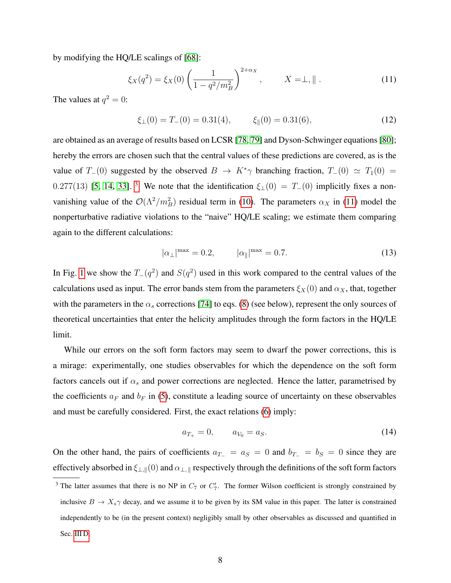by modifying the HQ/LE scalings of [\[68\]](#page-36-17):

$$
\xi_X(q^2) = \xi_X(0) \left( \frac{1}{1 - q^2 / m_B^2} \right)^{2 + \alpha_X}, \qquad X = \perp, \| \ . \tag{11}
$$

The values at  $q^2 = 0$ :

$$
\xi_{\perp}(0) = T_{-}(0) = 0.31(4), \qquad \xi_{\parallel}(0) = 0.31(6), \tag{12}
$$

are obtained as an average of results based on LCSR [\[78,](#page-37-6) [79\]](#page-37-7) and Dyson-Schwinger equations [\[80\]](#page-37-8); hereby the errors are chosen such that the central values of these predictions are covered, as is the value of  $T_-(0)$  suggested by the observed  $B \to K^*\gamma$  branching fraction,  $T_-(0) \simeq T_1(0) =$ 0.277(13) [\[5,](#page-34-2) [14,](#page-34-1) [33\]](#page-35-5). <sup>[3](#page-7-0)</sup> We note that the identification  $\xi_{\perp}(0) = T_{-}(0)$  implicitly fixes a nonvanishing value of the  $\mathcal{O}(\Lambda^2/m_B^2)$  residual term in [\(10\)](#page-6-0). The parameters  $\alpha_X$  in [\(11\)](#page-7-1) model the nonperturbative radiative violations to the "naive" HQ/LE scaling; we estimate them comparing again to the different calculations:

<span id="page-8-0"></span>
$$
|\alpha_{\perp}|^{\text{max}} = 0.2, \qquad |\alpha_{\parallel}|^{\text{max}} = 0.7. \tag{13}
$$

In Fig. [1](#page-6-1) we show the  $T_-(q^2)$  and  $S(q^2)$  used in this work compared to the central values of the calculations used as input. The error bands stem from the parameters  $\xi_X(0)$  and  $\alpha_X$ , that, together with the parameters in the  $\alpha_s$  corrections [\[74\]](#page-37-1) to eqs. [\(8\)](#page-5-2) (see below), represent the only sources of theoretical uncertainties that enter the helicity amplitudes through the form factors in the HQ/LE limit.

<span id="page-8-1"></span>While our errors on the soft form factors may seem to dwarf the power corrections, this is a mirage: experimentally, one studies observables for which the dependence on the soft form factors cancels out if  $\alpha_s$  and power corrections are neglected. Hence the latter, parametrised by the coefficients  $a_F$  and  $b_F$  in [\(5\)](#page-5-0), constitute a leading source of uncertainty on these observables and must be carefully considered. First, the exact relations [\(6\)](#page-5-4) imply:

$$
a_{T_+} = 0, \qquad a_{V_0} = a_S. \tag{14}
$$

On the other hand, the pairs of coefficients  $a_{T-} = a_S = 0$  and  $b_{T-} = b_S = 0$  since they are effectively absorbed in  $\xi_{\perp,\parallel}(0)$  and  $\alpha_{\perp,\parallel}$  respectively through the definitions of the soft form factors

<sup>&</sup>lt;sup>3</sup> The latter assumes that there is no NP in  $C_7$  or  $C_7'$ . The former Wilson coefficient is strongly constrained by inclusive  $B \to X_s \gamma$  decay, and we assume it to be given by its SM value in this paper. The latter is constrained independently to be (in the present context) negligibly small by other observables as discussed and quantified in Sec. [III D.](#page-24-0)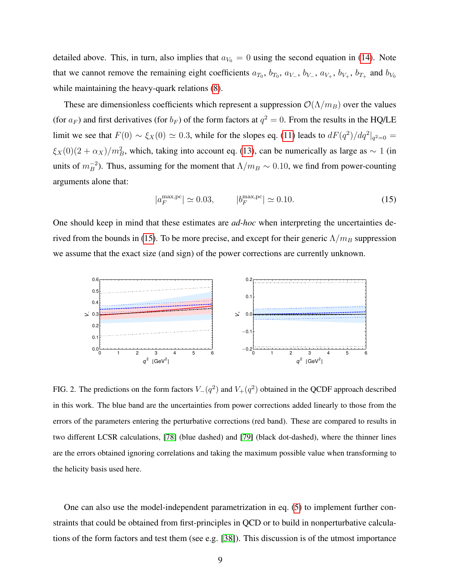detailed above. This, in turn, also implies that  $a_{V_0} = 0$  using the second equation in [\(14\)](#page-7-2). Note that we cannot remove the remaining eight coefficients  $a_{T_0}, b_{T_0}, a_{V_+}, b_{V_+}, a_{V_+}, b_{V_+}, b_{T_+}$  and  $b_{V_0}$ while maintaining the heavy-quark relations [\(8\)](#page-5-2).

These are dimensionless coefficients which represent a suppression  $\mathcal{O}(\Lambda/m_B)$  over the values (for  $a_F$ ) and first derivatives (for  $b_F$ ) of the form factors at  $q^2 = 0$ . From the results in the HQ/LE limit we see that  $F(0) \sim \xi_X(0) \simeq 0.3$ , while for the slopes eq. [\(11\)](#page-7-1) leads to  $dF(q^2)/dq^2|_{q^2=0} =$  $\xi_X(0)(2 + \alpha_X)/m_B^2$ , which, taking into account eq. [\(13\)](#page-7-3), can be numerically as large as  $\sim 1$  (in units of  $m_B^{-2}$ ). Thus, assuming for the moment that  $\Lambda/m_B \sim 0.10$ , we find from power-counting arguments alone that:

$$
|a_F^{\text{max,pc}}| \simeq 0.03, \qquad |b_F^{\text{max,pc}}| \simeq 0.10. \tag{15}
$$

One should keep in mind that these estimates are *ad-hoc* when interpreting the uncertainties de-rived from the bounds in [\(15\)](#page-8-0). To be more precise, and except for their generic  $\Lambda/m_B$  suppression we assume that the exact size (and sign) of the power corrections are currently unknown.



<span id="page-9-0"></span>FIG. 2. The predictions on the form factors  $V_-(q^2)$  and  $V_+(q^2)$  obtained in the QCDF approach described in this work. The blue band are the uncertainties from power corrections added linearly to those from the errors of the parameters entering the perturbative corrections (red band). These are compared to results in two different LCSR calculations, [\[78\]](#page-37-6) (blue dashed) and [\[79\]](#page-37-7) (black dot-dashed), where the thinner lines are the errors obtained ignoring correlations and taking the maximum possible value when transforming to the helicity basis used here.

One can also use the model-independent parametrization in eq. [\(5\)](#page-5-0) to implement further constraints that could be obtained from first-principles in QCD or to build in nonperturbative calculations of the form factors and test them (see e.g. [\[38\]](#page-35-0)). This discussion is of the utmost importance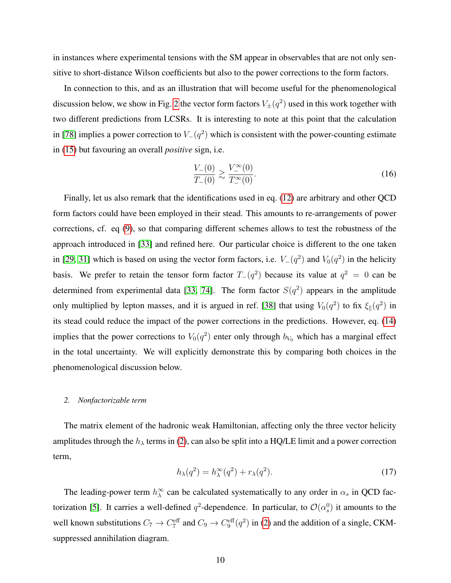in instances where experimental tensions with the SM appear in observables that are not only sensitive to short-distance Wilson coefficients but also to the power corrections to the form factors.

<span id="page-10-0"></span>In connection to this, and as an illustration that will become useful for the phenomenological discussion below, we show in Fig. [2](#page-8-1) the vector form factors  $V_{\pm}(q^2)$  used in this work together with two different predictions from LCSRs. It is interesting to note at this point that the calculation in [\[78\]](#page-37-6) implies a power correction to  $V_-(q^2)$  which is consistent with the power-counting estimate in [\(15\)](#page-8-0) but favouring an overall *positive* sign, i.e.

$$
\frac{V_{-}(0)}{T_{-}(0)} \gtrsim \frac{V_{-}^{\infty}(0)}{T_{-}^{\infty}(0)}.
$$
\n(16)

Finally, let us also remark that the identifications used in eq. [\(12\)](#page-7-4) are arbitrary and other QCD form factors could have been employed in their stead. This amounts to re-arrangements of power corrections, cf. eq [\(9\)](#page-6-2), so that comparing different schemes allows to test the robustness of the approach introduced in [\[33\]](#page-35-5) and refined here. Our particular choice is different to the one taken in [\[29,](#page-35-6) [31\]](#page-35-7) which is based on using the vector form factors, i.e.  $V_-(q^2)$  and  $V_0(q^2)$  in the helicity basis. We prefer to retain the tensor form factor  $T_-(q^2)$  because its value at  $q^2 = 0$  can be determined from experimental data [\[33,](#page-35-5) [74\]](#page-37-1). The form factor  $S(q^2)$  appears in the amplitude only multiplied by lepton masses, and it is argued in ref. [\[38\]](#page-35-0) that using  $V_0(q^2)$  to fix  $\xi_{\parallel}(q^2)$  in its stead could reduce the impact of the power corrections in the predictions. However, eq. [\(14\)](#page-7-2) implies that the power corrections to  $V_0(q^2)$  enter only through  $b_{V_0}$  which has a marginal effect in the total uncertainty. We will explicitly demonstrate this by comparing both choices in the phenomenological discussion below.

#### *2. Nonfactorizable term*

The matrix element of the hadronic weak Hamiltonian, affecting only the three vector helicity amplitudes through the  $h_{\lambda}$  terms in [\(2\)](#page-3-1), can also be split into a HQ/LE limit and a power correction term,

$$
h_{\lambda}(q^2) = h_{\lambda}^{\infty}(q^2) + r_{\lambda}(q^2). \tag{17}
$$

The leading-power term  $h_{\lambda}^{\infty}$  can be calculated systematically to any order in  $\alpha_s$  in QCD fac-torization [\[5\]](#page-34-2). It carries a well-defined  $q^2$ -dependence. In particular, to  $\mathcal{O}(\alpha_s^0)$  it amounts to the well known substitutions  $C_7 \to C_7^{\text{eff}}$  and  $C_9 \to C_9^{\text{eff}}(q^2)$  in [\(2\)](#page-3-1) and the addition of a single, CKMsuppressed annihilation diagram.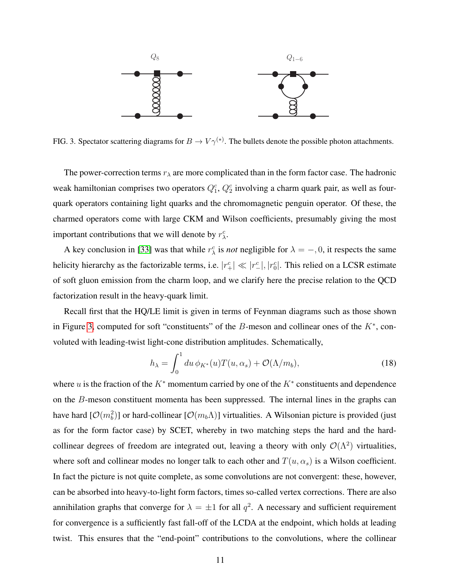

FIG. 3. Spectator scattering diagrams for  $B \to V \gamma^{(*)}$ . The bullets denote the possible photon attachments.

The power-correction terms  $r_{\lambda}$  are more complicated than in the form factor case. The hadronic weak hamiltonian comprises two operators  $Q_1^c$ ,  $Q_2^c$  involving a charm quark pair, as well as fourquark operators containing light quarks and the chromomagnetic penguin operator. Of these, the charmed operators come with large CKM and Wilson coefficients, presumably giving the most important contributions that we will denote by  $r_{\lambda}^c$ .

A key conclusion in [\[33\]](#page-35-5) was that while  $r_{\lambda}^{c}$  is *not* negligible for  $\lambda = -1, 0$ , it respects the same helicity hierarchy as the factorizable terms, i.e.  $|r_+^c| \ll |r_-^c|$ ,  $|r_0^c|$ . This relied on a LCSR estimate of soft gluon emission from the charm loop, and we clarify here the precise relation to the QCD factorization result in the heavy-quark limit.

Recall first that the HQ/LE limit is given in terms of Feynman diagrams such as those shown in Figure [3,](#page-10-0) computed for soft "constituents" of the  $B$ -meson and collinear ones of the  $K^*$ , convoluted with leading-twist light-cone distribution amplitudes. Schematically,

$$
h_{\lambda} = \int_0^1 du \, \phi_{K^*}(u) T(u, \alpha_s) + \mathcal{O}(\Lambda/m_b), \tag{18}
$$

<span id="page-11-0"></span>where u is the fraction of the  $K^*$  momentum carried by one of the  $K^*$  constituents and dependence on the B-meson constituent momenta has been suppressed. The internal lines in the graphs can have hard  $[O(m_b^2)]$  or hard-collinear  $[O(m_b\Lambda)]$  virtualities. A Wilsonian picture is provided (just as for the form factor case) by SCET, whereby in two matching steps the hard and the hardcollinear degrees of freedom are integrated out, leaving a theory with only  $\mathcal{O}(\Lambda^2)$  virtualities, where soft and collinear modes no longer talk to each other and  $T(u, \alpha_s)$  is a Wilson coefficient. In fact the picture is not quite complete, as some convolutions are not convergent: these, however, can be absorbed into heavy-to-light form factors, times so-called vertex corrections. There are also annihilation graphs that converge for  $\lambda = \pm 1$  for all  $q^2$ . A necessary and sufficient requirement for convergence is a sufficiently fast fall-off of the LCDA at the endpoint, which holds at leading twist. This ensures that the "end-point" contributions to the convolutions, where the collinear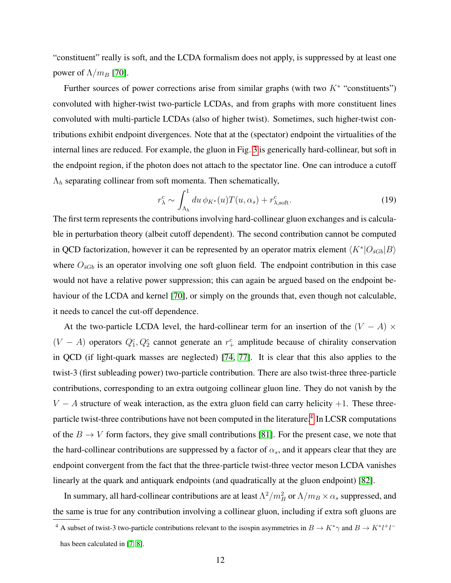"constituent" really is soft, and the LCDA formalism does not apply, is suppressed by at least one power of  $\Lambda/m_B$  [\[70\]](#page-37-9).

Further sources of power corrections arise from similar graphs (with two  $K^*$  "constituents") convoluted with higher-twist two-particle LCDAs, and from graphs with more constituent lines convoluted with multi-particle LCDAs (also of higher twist). Sometimes, such higher-twist contributions exhibit endpoint divergences. Note that at the (spectator) endpoint the virtualities of the internal lines are reduced. For example, the gluon in Fig. [3](#page-10-0) is generically hard-collinear, but soft in the endpoint region, if the photon does not attach to the spectator line. One can introduce a cutoff  $\Lambda_h$  separating collinear from soft momenta. Then schematically,

$$
r_{\lambda}^{c} \sim \int_{\Lambda_{h}}^{1} du \, \phi_{K^{*}}(u) T(u, \alpha_{s}) + r_{\lambda, \text{soft}}^{c}.
$$
 (19)

The first term represents the contributions involving hard-collinear gluon exchanges and is calculable in perturbation theory (albeit cutoff dependent). The second contribution cannot be computed in QCD factorization, however it can be represented by an operator matrix element  $\langle K^* | O_{\bar{s}Gb} | B \rangle$ where  $O_{\bar{s}Gb}$  is an operator involving one soft gluon field. The endpoint contribution in this case would not have a relative power suppression; this can again be argued based on the endpoint be-haviour of the LCDA and kernel [\[70\]](#page-37-9), or simply on the grounds that, even though not calculable, it needs to cancel the cut-off dependence.

<span id="page-12-1"></span>At the two-particle LCDA level, the hard-collinear term for an insertion of the  $(V - A) \times$  $(V - A)$  operators  $Q_1^c, Q_2^c$  cannot generate an  $r_+^c$  amplitude because of chirality conservation in QCD (if light-quark masses are neglected) [\[74,](#page-37-1) [77\]](#page-37-5). It is clear that this also applies to the twist-3 (first subleading power) two-particle contribution. There are also twist-three three-particle contributions, corresponding to an extra outgoing collinear gluon line. They do not vanish by the  $V - A$  structure of weak interaction, as the extra gluon field can carry helicity +1. These three-particle twist-three contributions have not been computed in the literature.<sup>[4](#page-11-0)</sup> In LCSR computations of the  $B \to V$  form factors, they give small contributions [\[81\]](#page-37-10). For the present case, we note that the hard-collinear contributions are suppressed by a factor of  $\alpha_s$ , and it appears clear that they are endpoint convergent from the fact that the three-particle twist-three vector meson LCDA vanishes linearly at the quark and antiquark endpoints (and quadratically at the gluon endpoint) [\[82\]](#page-37-11).

<span id="page-12-0"></span>In summary, all hard-collinear contributions are at least  $\Lambda^2/m_B^2$  or  $\Lambda/m_B \times \alpha_s$  suppressed, and the same is true for any contribution involving a collinear gluon, including if extra soft gluons are

<sup>&</sup>lt;sup>4</sup> A subset of twist-3 two-particle contributions relevant to the isospin asymmetries in  $B \to K^*\gamma$  and  $B \to K^*l^+l^-$ 

has been calculated in [\[7,](#page-34-4) [8\]](#page-34-5).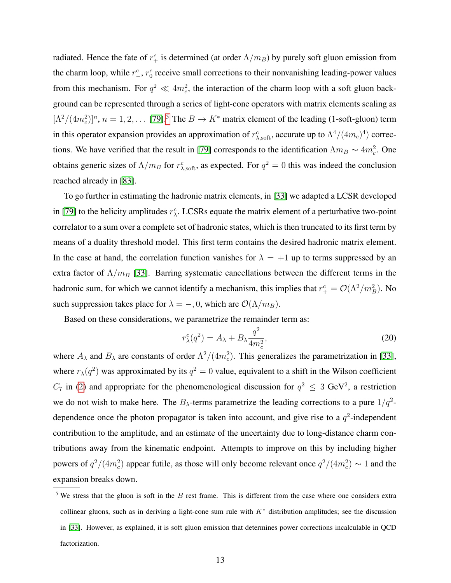radiated. Hence the fate of  $r_+^c$  is determined (at order  $\Lambda/m_B$ ) by purely soft gluon emission from the charm loop, while  $r_-^c$ ,  $r_0^c$  receive small corrections to their nonvanishing leading-power values from this mechanism. For  $q^2 \ll 4m_c^2$ , the interaction of the charm loop with a soft gluon background can be represented through a series of light-cone operators with matrix elements scaling as  $[\Lambda^2/(4m_c^2)]^n$ ,  $n = 1, 2, ...$  [\[79\]](#page-37-7).<sup>[5](#page-12-0)</sup> The  $B \to K^*$  matrix element of the leading (1-soft-gluon) term in this operator expansion provides an approximation of  $r_{\lambda,\text{soft}}^c$ , accurate up to  $\Lambda^4/(4m_c)^4$ ) correc-tions. We have verified that the result in [\[79\]](#page-37-7) corresponds to the identification  $\Lambda m_B \sim 4m_c^2$ . One obtains generic sizes of  $\Lambda/m_B$  for  $r_{\lambda,\text{soft}}^c$ , as expected. For  $q^2 = 0$  this was indeed the conclusion reached already in [\[83\]](#page-37-12).

To go further in estimating the hadronic matrix elements, in [\[33\]](#page-35-5) we adapted a LCSR developed in [\[79\]](#page-37-7) to the helicity amplitudes  $r_{\lambda}^c$ . LCSRs equate the matrix element of a perturbative two-point correlator to a sum over a complete set of hadronic states, which is then truncated to its first term by means of a duality threshold model. This first term contains the desired hadronic matrix element. In the case at hand, the correlation function vanishes for  $\lambda = +1$  up to terms suppressed by an extra factor of  $\Lambda/m_B$  [\[33\]](#page-35-5). Barring systematic cancellations between the different terms in the hadronic sum, for which we cannot identify a mechanism, this implies that  $r_+^c = \mathcal{O}(\Lambda^2/m_B^2)$ . No such suppression takes place for  $\lambda = -, 0$ , which are  $\mathcal{O}(\Lambda/m_B)$ .

<span id="page-13-0"></span>Based on these considerations, we parametrize the remainder term as:

$$
r_{\lambda}^{c}(q^{2}) = A_{\lambda} + B_{\lambda} \frac{q^{2}}{4m_{c}^{2}},
$$
\n(20)

where  $A_{\lambda}$  and  $B_{\lambda}$  are constants of order  $\Lambda^2/(4m_c^2)$ . This generalizes the parametrization in [\[33\]](#page-35-5), where  $r_{\lambda}(q^2)$  was approximated by its  $q^2 = 0$  value, equivalent to a shift in the Wilson coefficient  $C_7$  in [\(2\)](#page-3-1) and appropriate for the phenomenological discussion for  $q^2 \leq 3$  GeV<sup>2</sup>, a restriction we do not wish to make here. The  $B_{\lambda}$ -terms parametrize the leading corrections to a pure  $1/q^2$ dependence once the photon propagator is taken into account, and give rise to a  $q^2$ -independent contribution to the amplitude, and an estimate of the uncertainty due to long-distance charm contributions away from the kinematic endpoint. Attempts to improve on this by including higher powers of  $q^2/(4m_c^2)$  appear futile, as those will only become relevant once  $q^2/(4m_c^2) \sim 1$  and the expansion breaks down.

 $5$  We stress that the gluon is soft in the B rest frame. This is different from the case where one considers extra collinear gluons, such as in deriving a light-cone sum rule with  $K^*$  distribution amplitudes; see the discussion in [\[33\]](#page-35-5). However, as explained, it is soft gluon emission that determines power corrections incalculable in QCD factorization.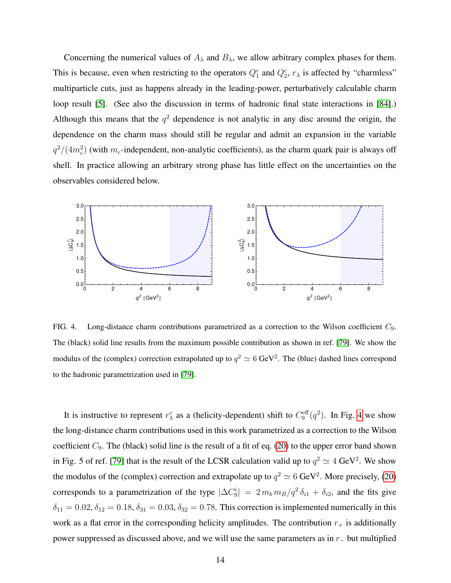Concerning the numerical values of  $A_{\lambda}$  and  $B_{\lambda}$ , we allow arbitrary complex phases for them. This is because, even when restricting to the operators  $Q_1^c$  and  $Q_2^c$ ,  $r_\lambda$  is affected by "charmless" multiparticle cuts, just as happens already in the leading-power, perturbatively calculable charm loop result [\[5\]](#page-34-2). (See also the discussion in terms of hadronic final state interactions in [\[84\]](#page-37-13).) Although this means that the  $q^2$  dependence is not analytic in any disc around the origin, the dependence on the charm mass should still be regular and admit an expansion in the variable  $q^2/(4m_c^2)$  (with  $m_c$ -independent, non-analytic coefficients), as the charm quark pair is always off shell. In practice allowing an arbitrary strong phase has little effect on the uncertainties on the observables considered below.



<span id="page-14-0"></span>FIG. 4. Long-distance charm contributions parametrized as a correction to the Wilson coefficient  $C_9$ . The (black) solid line results from the maximum possible contribution as shown in ref. [\[79\]](#page-37-7). We show the modulus of the (complex) correction extrapolated up to  $q^2 \simeq 6 \text{ GeV}^2$ . The (blue) dashed lines correspond to the hadronic parametrization used in [\[79\]](#page-37-7).

It is instructive to represent  $r_{\lambda}^{c}$  as a (helicity-dependent) shift to  $C_9^{\text{eff}}(q^2)$ . In Fig. [4](#page-13-0) we show the long-distance charm contributions used in this work parametrized as a correction to the Wilson coefficient  $C_9$ . The (black) solid line is the result of a fit of eq. [\(20\)](#page-12-1) to the upper error band shown in Fig. 5 of ref. [\[79\]](#page-37-7) that is the result of the LCSR calculation valid up to  $q^2 \simeq 4 \text{ GeV}^2$ . We show the modulus of the (complex) correction and extrapolate up to  $q^2 \simeq 6 \text{ GeV}^2$ . More precisely, [\(20\)](#page-12-1) corresponds to a parametrization of the type  $|\Delta C_9^i| = 2 m_b m_B / q^2 \delta_{i1} + \delta_{i2}$ , and the fits give  $\delta_{11} = 0.02, \delta_{12} = 0.18, \delta_{31} = 0.03, \delta_{32} = 0.78$ . This correction is implemented numerically in this work as a flat error in the corresponding helicity amplitudes. The contribution  $r_{+}$  is additionally power suppressed as discussed above, and we will use the same parameters as in r<sup>−</sup> but multiplied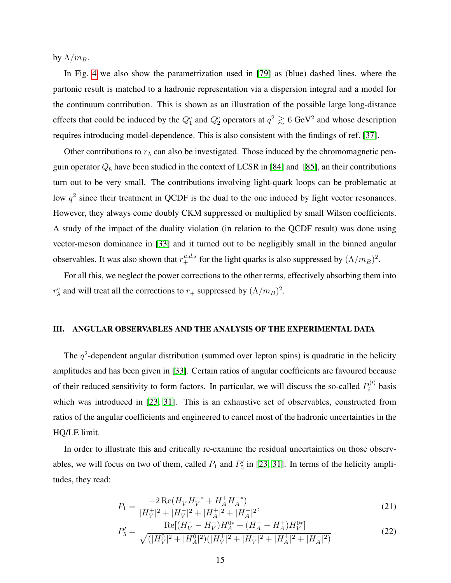by  $\Lambda/m_B$ .

In Fig. [4](#page-13-0) we also show the parametrization used in [\[79\]](#page-37-7) as (blue) dashed lines, where the partonic result is matched to a hadronic representation via a dispersion integral and a model for the continuum contribution. This is shown as an illustration of the possible large long-distance effects that could be induced by the  $Q_1^c$  and  $Q_2^c$  operators at  $q^2 \gtrsim 6$  GeV<sup>2</sup> and whose description requires introducing model-dependence. This is also consistent with the findings of ref. [\[37\]](#page-35-8).

Other contributions to  $r<sub>\lambda</sub>$  can also be investigated. Those induced by the chromomagnetic penguin operator  $Q_8$  have been studied in the context of LCSR in [\[84\]](#page-37-13) and [\[85\]](#page-37-14), an their contributions turn out to be very small. The contributions involving light-quark loops can be problematic at low  $q^2$  since their treatment in QCDF is the dual to the one induced by light vector resonances. However, they always come doubly CKM suppressed or multiplied by small Wilson coefficients. A study of the impact of the duality violation (in relation to the QCDF result) was done using vector-meson dominance in [\[33\]](#page-35-5) and it turned out to be negligibly small in the binned angular observables. It was also shown that  $r^{u,d,s}_+$  for the light quarks is also suppressed by  $(\Lambda/m_B)^2$ .

For all this, we neglect the power corrections to the other terms, effectively absorbing them into  $r_{\lambda}^{c}$  and will treat all the corrections to  $r_{+}$  suppressed by  $(\Lambda/m_B)^2$ .

#### III. ANGULAR OBSERVABLES AND THE ANALYSIS OF THE EXPERIMENTAL DATA

The  $q^2$ -dependent angular distribution (summed over lepton spins) is quadratic in the helicity amplitudes and has been given in [\[33\]](#page-35-5). Certain ratios of angular coefficients are favoured because of their reduced sensitivity to form factors. In particular, we will discuss the so-called  $P_i^{(l)}$  $P_i^{(V)}$  basis which was introduced in [\[23,](#page-35-9) [31\]](#page-35-7). This is an exhaustive set of observables, constructed from ratios of the angular coefficients and engineered to cancel most of the hadronic uncertainties in the HQ/LE limit.

In order to illustrate this and critically re-examine the residual uncertainties on those observables, we will focus on two of them, called  $P_1$  and  $P'_5$  in [\[23,](#page-35-9) [31\]](#page-35-7). In terms of the helicity amplitudes, they read:

$$
P_1 = \frac{-2\operatorname{Re}(H_V^+ H_V^{-*} + H_A^+ H_A^{-*})}{|H_V^+|^2 + |H_V^-|^2 + |H_A^+|^2 + |H_A^-|^2},\tag{21}
$$

<span id="page-15-0"></span>
$$
P_5' = \frac{\text{Re}[(H_V^- - H_V^+)H_A^{0*} + (H_A^- - H_A^+)H_V^{0*}]}{\sqrt{(|H_V^0|^2 + |H_A^0|^2)(|H_V^+|^2 + |H_V^-|^2 + |H_A^+|^2 + |H_A^-|^2)}}
$$
(22)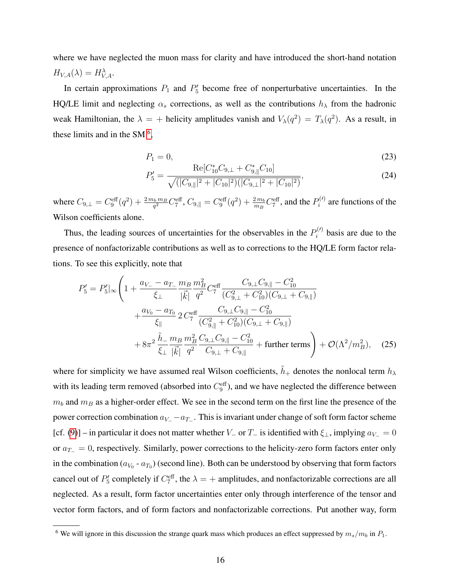where we have neglected the muon mass for clarity and have introduced the short-hand notation  $H_{V,A}(\lambda) = H_{V,A}^{\lambda}.$ 

In certain approximations  $P_1$  and  $P'_5$  become free of nonperturbative uncertainties. In the HQ/LE limit and neglecting  $\alpha_s$  corrections, as well as the contributions  $h_{\lambda}$  from the hadronic weak Hamiltonian, the  $\lambda = +$  helicity amplitudes vanish and  $V_{\lambda}(q^2) = T_{\lambda}(q^2)$ . As a result, in these limits and in the SM $<sup>6</sup>$  $<sup>6</sup>$  $<sup>6</sup>$ ,</sup>

$$
P_1 = 0,\t\t(23)
$$

$$
P_5' = \frac{\text{Re}[C_{10}^* C_{9,\perp} + C_{9,\parallel}^* C_{10}]}{\sqrt{(|C_{9,\parallel}|^2 + |C_{10}|^2)(|C_{9,\perp}|^2 + |C_{10}|^2)}},\tag{24}
$$

where  $C_{9,\perp}=C_9^{\text{eff}}(q^2)+\frac{2\,m_b\,m_B}{q^2}C_7^{\text{eff}}$ ,  $C_{9,\parallel}=C_9^{\text{eff}}(q^2)+\frac{2\,m_b}{m_B}C_7^{\text{eff}}$ , and the  $P_i^{(l)}$  $i^{(1)}$  are functions of the Wilson coefficients alone.

Thus, the leading sources of uncertainties for the observables in the  $P_i^{(l)}$  $\mathbf{b}_i^{(t)}$  basis are due to the presence of nonfactorizable contributions as well as to corrections to the HQ/LE form factor relations. To see this explicitly, note that

$$
P_5' = P_5' \big|_{\infty} \left( 1 + \frac{a_{V_-} - a_{T_-}}{\xi_{\perp}} \frac{m_B}{|\vec{k}|} \frac{m_B^2}{q^2} C_7^{\text{eff}} \frac{C_{9,\perp} C_{9,\parallel} - C_{10}^2}{(C_{9,\perp}^2 + C_{10}^2)(C_{9,\perp} + C_{9,\parallel})} + \frac{a_{V_0} - a_{T_0}}{\xi_{\parallel}} 2 C_7^{\text{eff}} \frac{C_{9,\perp} C_{9,\parallel} - C_{10}^2}{(C_{9,\parallel}^2 + C_{10}^2)(C_{9,\perp} + C_{9,\parallel})} + 8\pi^2 \frac{\tilde{h}_-}{\xi_{\perp}} \frac{m_B}{|\vec{k}|} \frac{m_B^2}{q^2} \frac{C_{9,\perp} C_{9,\parallel} - C_{10}^2}{C_{9,\perp} + C_{9,\parallel}} + \text{further terms} \right) + \mathcal{O}(\Lambda^2/m_B^2), \quad (25)
$$

where for simplicity we have assumed real Wilson coefficients,  $\tilde{h}_+$  denotes the nonlocal term  $h_{\lambda}$ with its leading term removed (absorbed into  $C_9^{\text{eff}}$ ), and we have neglected the difference between  $m_b$  and  $m_B$  as a higher-order effect. We see in the second term on the first line the presence of the power correction combination  $a_{V-} - a_{T-}$ . This is invariant under change of soft form factor scheme [cf. [\(9\)](#page-6-2)] – in particular it does not matter whether  $V_$  or  $T_$  is identified with  $\xi_{\perp}$ , implying  $a_{V_}=0$ or  $a_{T_0} = 0$ , respectively. Similarly, power corrections to the helicity-zero form factors enter only in the combination ( $a_{V_0}$  -  $a_{T_0}$ ) (second line). Both can be understood by observing that form factors cancel out of  $P'_5$  completely if  $C_7^{\text{eff}}$ , the  $\lambda = +$  amplitudes, and nonfactorizable corrections are all neglected. As a result, form factor uncertainties enter only through interference of the tensor and vector form factors, and of form factors and nonfactorizable corrections. Put another way, form

<sup>&</sup>lt;sup>6</sup> We will ignore in this discussion the strange quark mass which produces an effect suppressed by  $m_s/m_b$  in  $P_1$ .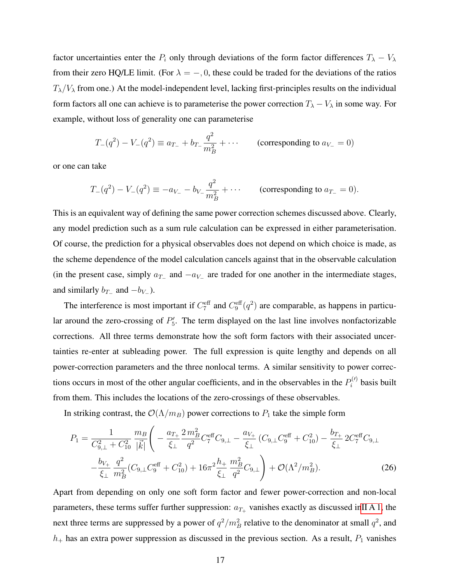factor uncertainties enter the  $P_i$  only through deviations of the form factor differences  $T_{\lambda} - V_{\lambda}$ from their zero HQ/LE limit. (For  $\lambda = -, 0$ , these could be traded for the deviations of the ratios  $T_{\lambda}/V_{\lambda}$  from one.) At the model-independent level, lacking first-principles results on the individual form factors all one can achieve is to parameterise the power correction  $T_{\lambda} - V_{\lambda}$  in some way. For example, without loss of generality one can parameterise

$$
T_{-}(q^{2}) - V_{-}(q^{2}) \equiv a_{T_{-}} + b_{T_{-}} \frac{q^{2}}{m_{B}^{2}} + \cdots
$$
 (corresponding to  $a_{V_{-}} = 0$ )

or one can take

$$
T_{-}(q^{2}) - V_{-}(q^{2}) \equiv -a_{V_{-}} - b_{V_{-}} \frac{q^{2}}{m_{B}^{2}} + \cdots
$$
 (corresponding to  $a_{T_{-}} = 0$ ).

<span id="page-17-1"></span>This is an equivalent way of defining the same power correction schemes discussed above. Clearly, any model prediction such as a sum rule calculation can be expressed in either parameterisation. Of course, the prediction for a physical observables does not depend on which choice is made, as the scheme dependence of the model calculation cancels against that in the observable calculation (in the present case, simply  $a_{T-}$  and  $-a_{V-}$  are traded for one another in the intermediate stages, and similarly  $b_{T-}$  and  $-b_{V-}$ ).

The interference is most important if  $C_7^{\text{eff}}$  and  $C_9^{\text{eff}}(q^2)$  are comparable, as happens in particular around the zero-crossing of  $P'_{5}$ . The term displayed on the last line involves nonfactorizable corrections. All three terms demonstrate how the soft form factors with their associated uncertainties re-enter at subleading power. The full expression is quite lengthy and depends on all power-correction parameters and the three nonlocal terms. A similar sensitivity to power corrections occurs in most of the other angular coefficients, and in the observables in the  $P_i^{(l)}$  $P_i^{(1)}$  basis built from them. This includes the locations of the zero-crossings of these observables.

In striking contrast, the  $\mathcal{O}(\Lambda/m_B)$  power corrections to  $P_1$  take the simple form

$$
P_{1} = \frac{1}{C_{9,\perp}^{2} + C_{10}^{2}} \frac{m_{B}}{|\vec{k}|} \left( -\frac{a_{T_{+}}}{\xi_{\perp}} \frac{2 m_{B}^{2}}{q^{2}} C_{7}^{\text{eff}} C_{9,\perp} - \frac{a_{V_{+}}}{\xi_{\perp}} (C_{9,\perp} C_{9}^{\text{eff}} + C_{10}^{2}) - \frac{b_{T_{+}}}{\xi_{\perp}} 2 C_{7}^{\text{eff}} C_{9,\perp} - \frac{b_{V_{+}}}{\xi_{\perp}} \frac{q^{2}}{m_{B}^{2}} (C_{9,\perp} C_{9}^{\text{eff}} + C_{10}^{2}) + 16 \pi^{2} \frac{h_{+}}{\xi_{\perp}} \frac{m_{B}^{2}}{q^{2}} C_{9,\perp} \right) + \mathcal{O}(\Lambda^{2}/m_{B}^{2}). \tag{26}
$$

<span id="page-17-0"></span>Apart from depending on only one soft form factor and fewer power-correction and non-local parameters, these terms suffer further suppression:  $a_{T+}$  vanishes exactly as discussed i[nII A 1,](#page-5-5) the next three terms are suppressed by a power of  $q^2/m_B^2$  relative to the denominator at small  $q^2$ , and  $h_+$  has an extra power suppression as discussed in the previous section. As a result,  $P_1$  vanishes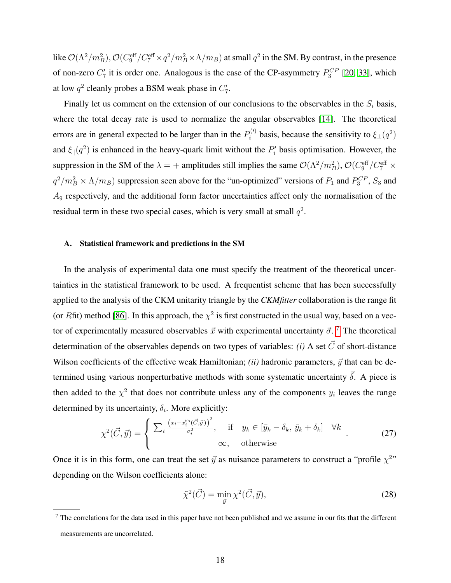like  $\mathcal{O}(\Lambda^2/m_B^2)$ ,  $\mathcal{O}(C_9^{\text{eff}}/C_7^{\text{eff}} \times q^2/m_B^2 \times \Lambda/m_B)$  at small  $q^2$  in the SM. By contrast, in the presence of non-zero  $C_7'$  it is order one. Analogous is the case of the CP-asymmetry  $P_3^{CP}$  [\[20,](#page-34-6) [33\]](#page-35-5), which at low  $q^2$  cleanly probes a BSM weak phase in  $C'_7$ .

Finally let us comment on the extension of our conclusions to the observables in the  $S_i$  basis, where the total decay rate is used to normalize the angular observables [\[14\]](#page-34-1). The theoretical errors are in general expected to be larger than in the  $P_i^{(l)}$  $\zeta_i^{(l)}$  basis, because the sensitivity to  $\xi_{\perp}(q^2)$ and  $\xi_{\parallel}(q^2)$  is enhanced in the heavy-quark limit without the  $P'_i$  basis optimisation. However, the suppression in the SM of the  $\lambda = +$  amplitudes still implies the same  $\mathcal{O}(\Lambda^2/m_B^2)$ ,  $\mathcal{O}(C_9^{\text{eff}}/C_7^{\text{eff}} \times$  $q^2/m_B^2 \times \Lambda/m_B$ ) suppression seen above for the "un-optimized" versions of  $P_1$  and  $P_3^{CP}$ ,  $S_3$  and A<sup>9</sup> respectively, and the additional form factor uncertainties affect only the normalisation of the residual term in these two special cases, which is very small at small  $q^2$ .

#### A. Statistical framework and predictions in the SM

<span id="page-18-0"></span>In the analysis of experimental data one must specify the treatment of the theoretical uncertainties in the statistical framework to be used. A frequentist scheme that has been successfully applied to the analysis of the CKM unitarity triangle by the *CKMfitter* collaboration is the range fit (or Rfit) method [\[86\]](#page-37-15). In this approach, the  $\chi^2$  is first constructed in the usual way, based on a vector of experimentally measured observables  $\vec{x}$  with experimental uncertainty  $\vec{\sigma}$ . <sup>[7](#page-17-0)</sup> The theoretical determination of the observables depends on two types of variables: *(i)* A set  $\vec{C}$  of short-distance Wilson coefficients of the effective weak Hamiltonian; *(ii)* hadronic parameters,  $\vec{y}$  that can be determined using various nonperturbative methods with some systematic uncertainty  $\vec{\delta}$ . A piece is then added to the  $\chi^2$  that does not contribute unless any of the components  $y_i$  leaves the range determined by its uncertainty,  $\delta_i$ . More explicitly:

$$
\chi^{2}(\vec{C}, \vec{y}) = \begin{cases} \sum_{i} \frac{(x_{i} - x_{i}^{\text{th}}(\vec{C}, \vec{y}))^{2}}{\sigma_{i}^{2}}, & \text{if } y_{k} \in [\bar{y}_{k} - \delta_{k}, \bar{y}_{k} + \delta_{k}] \forall k \\ \infty, & \text{otherwise} \end{cases}
$$
(27)

Once it is in this form, one can treat the set  $\vec{y}$  as nuisance parameters to construct a "profile  $\chi^{2}$ " depending on the Wilson coefficients alone:

$$
\tilde{\chi}^2(\vec{C}) = \min_{\vec{y}} \chi^2(\vec{C}, \vec{y}),\tag{28}
$$

 $<sup>7</sup>$  The correlations for the data used in this paper have not been published and we assume in our fits that the different</sup> measurements are uncorrelated.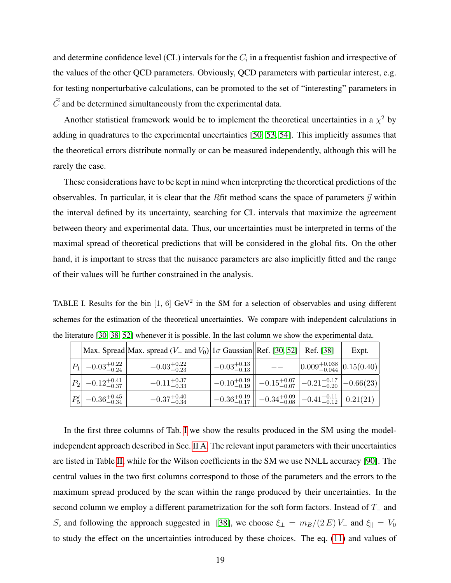and determine confidence level (CL) intervals for the  $C_i$  in a frequentist fashion and irrespective of the values of the other QCD parameters. Obviously, QCD parameters with particular interest, e.g. for testing nonperturbative calculations, can be promoted to the set of "interesting" parameters in  $\vec{C}$  and be determined simultaneously from the experimental data.

Another statistical framework would be to implement the theoretical uncertainties in a  $\chi^2$  by adding in quadratures to the experimental uncertainties [\[50,](#page-36-5) [53,](#page-36-18) [54\]](#page-36-7). This implicitly assumes that the theoretical errors distribute normally or can be measured independently, although this will be rarely the case.

<span id="page-19-0"></span>These considerations have to be kept in mind when interpreting the theoretical predictions of the observables. In particular, it is clear that the Rfit method scans the space of parameters  $\vec{y}$  within the interval defined by its uncertainty, searching for CL intervals that maximize the agreement between theory and experimental data. Thus, our uncertainties must be interpreted in terms of the maximal spread of theoretical predictions that will be considered in the global fits. On the other hand, it is important to stress that the nuisance parameters are also implicitly fitted and the range of their values will be further constrained in the analysis.

TABLE I. Results for the bin [1, 6]  $GeV^2$  in the SM for a selection of observables and using different schemes for the estimation of the theoretical uncertainties. We compare with independent calculations in the literature [\[30,](#page-35-10) [38,](#page-35-0) [52\]](#page-36-8) whenever it is possible. In the last column we show the experimental data.

|                                 | Max. Spread   Max. spread $(V_-$ and $V_0$   1 $\sigma$ Gaussian    Ref. [30, 52]   Ref. [38] |                         |                                                                                                                |                                                     | Expt. |
|---------------------------------|-----------------------------------------------------------------------------------------------|-------------------------|----------------------------------------------------------------------------------------------------------------|-----------------------------------------------------|-------|
| $ P_1 $ -0.03 <sup>+0.22</sup>  | $-0.03_{-0.23}^{+0.22}$                                                                       | $-0.03_{-0.13}^{+0.13}$ |                                                                                                                | $\left  0.009_{-0.044}^{+0.038} \right  0.15(0.40)$ |       |
| $ P_2 $ -0.12 <sup>+0.41</sup>  | $-0.11^{+0.37}_{-0.33}$                                                                       |                         | $\left\  -0.10_{-0.19}^{+0.19} \right\  -0.15_{-0.07}^{+0.07} \left  -0.21_{-0.20}^{+0.17} \right\  -0.66(23)$ |                                                     |       |
| $ P'_5 $ -0.36 <sup>+0.45</sup> | $-0.37^{+0.40}_{-0.34}$                                                                       |                         | $\left[-0.36_{-0.17}^{+0.19}\right]$ $-0.34_{-0.08}^{+0.09}$ $\left[-0.41_{-0.12}^{+0.11}\right]$ $0.21(21)$   |                                                     |       |

In the first three columns of Tab. [I](#page-18-0) we show the results produced in the SM using the modelindependent approach described in Sec. [II A.](#page-4-0) The relevant input parameters with their uncertainties are listed in Table [II,](#page-19-0) while for the Wilson coefficients in the SM we use NNLL accuracy [\[90\]](#page-38-0). The central values in the two first columns correspond to those of the parameters and the errors to the maximum spread produced by the scan within the range produced by their uncertainties. In the second column we employ a different parametrization for the soft form factors. Instead of T<sub>−</sub> and S, and following the approach suggested in [\[38\]](#page-35-0), we choose  $\xi_{\perp} = m_B/(2 E) V_{-}$  and  $\xi_{\parallel} = V_0$ to study the effect on the uncertainties introduced by these choices. The eq. [\(11\)](#page-7-1) and values of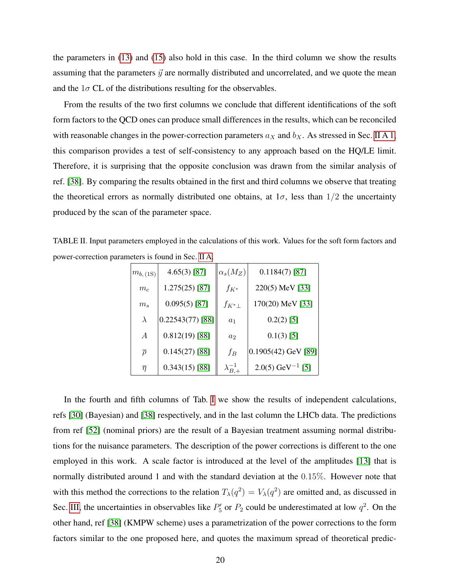the parameters in [\(13\)](#page-7-3) and [\(15\)](#page-8-0) also hold in this case. In the third column we show the results assuming that the parameters  $\vec{y}$  are normally distributed and uncorrelated, and we quote the mean and the  $1\sigma$  CL of the distributions resulting for the observables.

From the results of the two first columns we conclude that different identifications of the soft form factors to the QCD ones can produce small differences in the results, which can be reconciled with reasonable changes in the power-correction parameters  $a_X$  and  $b_X$ . As stressed in Sec. [II A 1,](#page-5-5) this comparison provides a test of self-consistency to any approach based on the HQ/LE limit. Therefore, it is surprising that the opposite conclusion was drawn from the similar analysis of ref. [\[38\]](#page-35-0). By comparing the results obtained in the first and third columns we observe that treating the theoretical errors as normally distributed one obtains, at  $1\sigma$ , less than  $1/2$  the uncertainty produced by the scan of the parameter space.

TABLE II. Input parameters employed in the calculations of this work. Values for the soft form factors and power-correction parameters is found in Sec. [II A.](#page-4-0)

| $m_{b, (1S)}$     | $4.65(3)$ [87]     | $\alpha_s(M_Z)$      | $0.1184(7)$ [87]               |
|-------------------|--------------------|----------------------|--------------------------------|
| $m_c$             | $1.275(25)$ [87]   | $f_{K^*}$            | 220(5) MeV [33]                |
| $m_s$             | $0.095(5)$ [87]    | $f_{K^*\perp}$       | $170(20)$ MeV [33]             |
| $\lambda$         | $0.22543(77)$ [88] | $a_1$                | $0.2(2)$ [5]                   |
| $\boldsymbol{A}$  | $0.812(19)$ [88]   | $a_2$                | $0.1(3)$ [5]                   |
| $\overline{\rho}$ | $0.145(27)$ [88]   | $f_B$                | $0.1905(42)$ GeV [89]          |
| $\overline{\eta}$ | $0.343(15)$ [88]   | $\lambda_{B,+}^{-1}$ | $2.0(5)$ GeV <sup>-1</sup> [5] |

<span id="page-20-0"></span>In the fourth and fifth columns of Tab. [I](#page-18-0) we show the results of independent calculations, refs [\[30\]](#page-35-10) (Bayesian) and [\[38\]](#page-35-0) respectively, and in the last column the LHCb data. The predictions from ref [\[52\]](#page-36-8) (nominal priors) are the result of a Bayesian treatment assuming normal distributions for the nuisance parameters. The description of the power corrections is different to the one employed in this work. A scale factor is introduced at the level of the amplitudes [\[13\]](#page-34-7) that is normally distributed around 1 and with the standard deviation at the 0.15%. However note that with this method the corrections to the relation  $T_{\lambda}(q^2) = V_{\lambda}(q^2)$  are omitted and, as discussed in Sec. [III,](#page-14-0) the uncertainties in observables like  $P'_5$  or  $P_2$  could be underestimated at low  $q^2$ . On the other hand, ref [\[38\]](#page-35-0) (KMPW scheme) uses a parametrization of the power corrections to the form factors similar to the one proposed here, and quotes the maximum spread of theoretical predic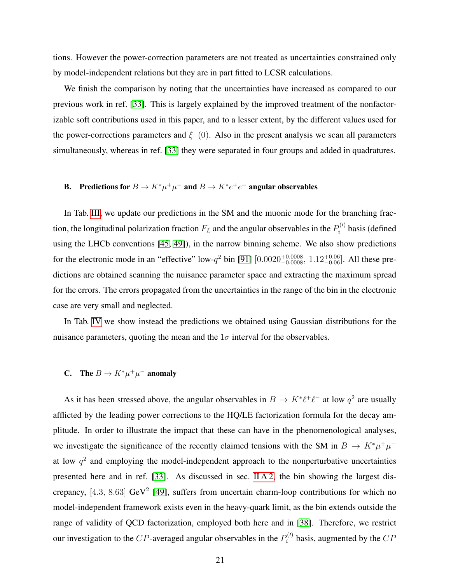<span id="page-21-0"></span>tions. However the power-correction parameters are not treated as uncertainties constrained only by model-independent relations but they are in part fitted to LCSR calculations.

We finish the comparison by noting that the uncertainties have increased as compared to our previous work in ref. [\[33\]](#page-35-5). This is largely explained by the improved treatment of the nonfactorizable soft contributions used in this paper, and to a lesser extent, by the different values used for the power-corrections parameters and  $\xi_{\perp}(0)$ . Also in the present analysis we scan all parameters simultaneously, whereas in ref. [\[33\]](#page-35-5) they were separated in four groups and added in quadratures.

## **B.** Predictions for  $B \to K^* \mu^+ \mu^-$  and  $B \to K^* e^+ e^-$  angular observables

In Tab. [III,](#page-21-0) we update our predictions in the SM and the muonic mode for the branching fraction, the longitudinal polarization fraction  $F_L$  and the angular observables in the  $P_i^{(l)}$  $b_i^{(1)}$  basis (defined using the LHCb conventions [\[45,](#page-36-0) [49\]](#page-36-4)), in the narrow binning scheme. We also show predictions for the electronic mode in an "effective" low- $q^2$  bin [\[91\]](#page-38-2)  $[0.0020^{+0.0008}_{-0.0008}, 1.12^{+0.06}_{-0.06}]$ . All these predictions are obtained scanning the nuisance parameter space and extracting the maximum spread for the errors. The errors propagated from the uncertainties in the range of the bin in the electronic case are very small and neglected.

In Tab. [IV](#page-22-0) we show instead the predictions we obtained using Gaussian distributions for the nuisance parameters, quoting the mean and the  $1\sigma$  interval for the observables.

## **C.** The  $B \to K^* \mu^+ \mu^-$  anomaly

As it has been stressed above, the angular observables in  $B \to K^* \ell^+ \ell^-$  at low  $q^2$  are usually afflicted by the leading power corrections to the HQ/LE factorization formula for the decay amplitude. In order to illustrate the impact that these can have in the phenomenological analyses, we investigate the significance of the recently claimed tensions with the SM in  $B \to K^* \mu^+ \mu^$ at low  $q^2$  and employing the model-independent approach to the nonperturbative uncertainties presented here and in ref. [\[33\]](#page-35-5). As discussed in sec. [II A 2,](#page-9-0) the bin showing the largest discrepancy,  $[4.3, 8.63]$  GeV<sup>2</sup> [\[49\]](#page-36-4), suffers from uncertain charm-loop contributions for which no model-independent framework exists even in the heavy-quark limit, as the bin extends outside the range of validity of QCD factorization, employed both here and in [\[38\]](#page-35-0). Therefore, we restrict our investigation to the CP-averaged angular observables in the  $P_i^{(l)}$  $\mathcal{O}_i^{(V)}$  basis, augmented by the  $CP$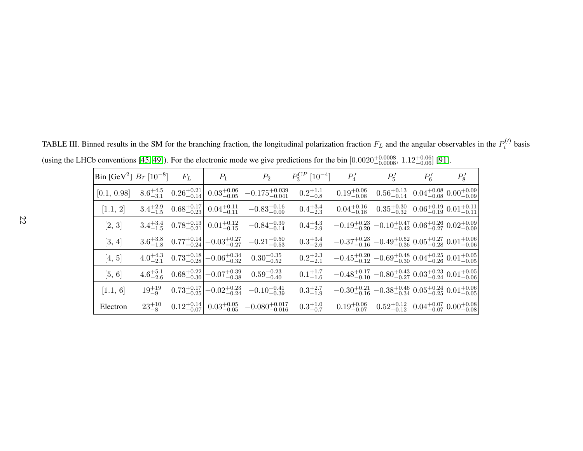<span id="page-22-0"></span>

| Bin $[GeV^2]$ $Br$ $[10^{-8}]$ |                     | $F_L$ | $P_1$                                                             | $P_2$                                                                                      | $P_3^{CP}$ [10 <sup>-4</sup> ] | $P_4'$                                                                                        | $P_5'$                                                                                      | $P'_6$ | $P'_8$ |
|--------------------------------|---------------------|-------|-------------------------------------------------------------------|--------------------------------------------------------------------------------------------|--------------------------------|-----------------------------------------------------------------------------------------------|---------------------------------------------------------------------------------------------|--------|--------|
| [0.1, 0.98]                    | $8.6^{+4.5}_{-3.1}$ |       | $0.26_{-0.14}^{+0.21}$ $0.03_{-0.05}^{+0.06}$                     | $-0.175_{-0.041}^{+0.039}$                                                                 | $0.2^{+1.1}_{-0.8}$            |                                                                                               | $0.19^{+0.06}_{-0.08}$ $0.56^{+0.13}_{-0.14}$ $0.04^{+0.08}_{-0.08}$ $0.00^{+0.09}_{-0.09}$ |        |        |
| [1.1, 2]                       | $3.4^{+2.9}_{-1.5}$ |       | $0.68^{+0.17}_{-0.23}$ $0.04^{+0.11}_{-0.11}$                     | $-0.83^{+0.16}_{-0.09}$                                                                    | $0.4^{+3.4}_{-2.3}$            |                                                                                               | $0.04_{-0.18}^{+0.16}$ $0.35_{-0.32}^{+0.30}$ $0.06_{-0.19}^{+0.19}$ $0.01_{-0.11}^{+0.11}$ |        |        |
| [2, 3]                         |                     |       | $3.4^{+3.4}_{-1.5}$ $0.78^{+0.13}_{-0.21}$ $0.01^{+0.12}_{-0.15}$ | $-0.84_{-0.14}^{+0.39}$                                                                    | $0.4_{-2.9}^{+4.3}$            | $-0.19_{-0.20}^{+0.23}$ $-0.10_{-0.42}^{+0.47}$ $0.06_{-0.27}^{+0.26}$ $0.02_{-0.09}^{+0.09}$ |                                                                                             |        |        |
| [3, 4]                         |                     |       |                                                                   | $3.6^{+3.8}_{-1.8}$ $0.77^{+0.14}_{-0.24}$ $-0.03^{+0.27}_{-0.27}$ $-0.21^{+0.50}_{-0.53}$ | $0.3^{+3.4}_{-2.6}$            | $-0.37^{+0.23}_{-0.16}$ $-0.49^{+0.52}_{-0.36}$ $0.05^{+0.27}_{-0.28}$ $0.01^{+0.06}_{-0.06}$ |                                                                                             |        |        |
| [4, 5]                         | $4.0^{+4.3}_{-2.1}$ |       |                                                                   | $0.73_{-0.28}^{+0.18}\left[-0.06_{-0.32}^{+0.34}\right]$ $0.30_{-0.52}^{+0.35}$            | $0.2^{+2.3}_{-2.1}$            | $-0.45_{-0.12}^{+0.20}$ $-0.69_{-0.30}^{+0.48}$ $0.04_{-0.26}^{+0.25}$ $0.01_{-0.05}^{+0.05}$ |                                                                                             |        |        |
| [5, 6]                         | $4.6^{+5.1}_{-2.6}$ |       |                                                                   | $0.68^{+0.22}_{-0.30}\Big[-0.07^{+0.39}_{-0.38}$ $0.59^{+0.23}_{-0.40}$                    | $0.1^{+1.7}_{-1.6}$            | $-0.48_{-0.10}^{+0.17}$ $-0.80_{-0.27}^{+0.43}$ $0.03_{-0.24}^{+0.23}$ $0.01_{-0.06}^{+0.05}$ |                                                                                             |        |        |
| [1.1, 6]                       | $19^{+19}_{-9}$     |       |                                                                   | $0.73^{+0.17}_{-0.25}$ $-0.02^{+0.23}_{-0.24}$ $-0.10^{+0.41}_{-0.39}$                     | $0.3^{+2.7}_{-1.9}$            | $-0.30_{-0.16}^{+0.21}$ $-0.38_{-0.34}^{+0.46}$ $0.05_{-0.25}^{+0.24}$ $0.01_{-0.05}^{+0.06}$ |                                                                                             |        |        |
| Electron                       | $23^{+10}_{-8}$     |       |                                                                   | $0.12^{+0.14}_{-0.07}$ $0.03^{+0.05}_{-0.05}$ $-0.080^{+0.017}_{-0.016}$                   | $0.3^{+1.0}_{-0.7}$            |                                                                                               | $0.19^{+0.06}_{-0.07}$ $0.52^{+0.12}_{-0.12}$ $0.04^{+0.07}_{-0.07}$ $0.00^{+0.08}_{-0.08}$ |        |        |

TABLE III. Binned results in the SM for the branching fraction, the longitudinal polarization fraction  $F_L$  and the angular observables in the  $P_i^{(l)}$  basis (using the LHCb conventions [\[45,](#page-36-19) [49\]](#page-36-20)). For the electronic mode we give predictions for the bin  $[0.0020^{+0.0008}_{-0.0008}, 1.12^{+0.06}_{-0.006}]$  [\[91\]](#page-38-3).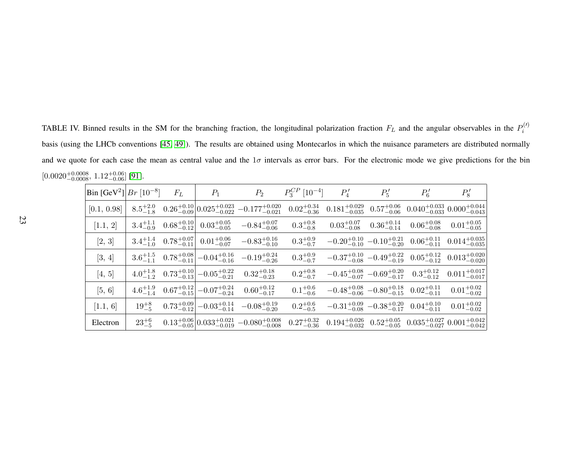TABLE IV. Binned results in the SM for the branching fraction, the longitudinal polarization fraction  $F_L$  and the angular observables in the  $P_i$  $\binom{i}{i}$ basis (using the LHCb conventions [\[45,](#page-36-19) [49\]](#page-36-20)). The results are obtained using Montecarlos in which the nuisance parameters are distributed normallyand we quote for each case the mean as central value and the  $1\sigma$  intervals as error bars. For the electronic mode we give predictions for the bin  $[0.0020^{+0.0008}_{-0.0008},\, 1.12^{+0.06}_{-0.06}]\,[91].$  $[0.0020^{+0.0008}_{-0.0008},\, 1.12^{+0.06}_{-0.06}]\,[91].$  $[0.0020^{+0.0008}_{-0.0008},\, 1.12^{+0.06}_{-0.06}]\,[91].$ ]

<span id="page-23-0"></span>

| $ Bin [GeV^2]   Br [10^{-8}]$ |                     | $F_L$ | $P_1$                                                              | $P_2$                                                                          | $P_3^{CP}$ [10 <sup>-4</sup> ] | $P'_4$                                                                                               | $P_5'$                 | $P'_6$                                                                | $P_8'$                    |
|-------------------------------|---------------------|-------|--------------------------------------------------------------------|--------------------------------------------------------------------------------|--------------------------------|------------------------------------------------------------------------------------------------------|------------------------|-----------------------------------------------------------------------|---------------------------|
| [0.1, 0.98]                   | $8.5^{+2.0}_{-1.8}$ |       |                                                                    | $0.26^{+0.10}_{-0.09} \Big  0.025^{+0.023}_{-0.022} - 0.177^{+0.020}_{-0.021}$ | $0.02_{-0.36}^{+0.34}$         | $0.181^{+0.029}_{-0.035}$                                                                            | $0.57^{+0.06}_{-0.06}$ | $0.040^{+0.033}_{-0.033}$ $0.000^{+0.044}_{-0.043}$                   |                           |
| [1.1, 2]                      | $3.4^{+1.1}_{-0.9}$ |       | $0.68^{+0.10}_{-0.12}$ $0.03^{+0.05}_{-0.05}$                      | $-0.84^{+0.07}_{-0.06}$                                                        | $0.3^{+0.8}_{-0.8}$            | $0.03^{+0.07}_{-0.08}$                                                                               | $0.36^{+0.14}_{-0.14}$ | $0.06_{-0.08}^{+0.08}$                                                | $0.01^{+0.05}_{-0.05}$    |
| $[2, 3]$                      |                     |       | $3.4^{+1.4}_{-1.0}$ $0.78^{+0.07}_{-0.11}$ $0.01^{+0.06}_{-0.07}$  | $-0.83^{+0.16}_{-0.10}$                                                        | $0.3^{+0.9}_{-0.7}$            | $-0.20^{+0.10}_{-0.10}$ $-0.10^{+0.21}_{-0.20}$                                                      |                        | $0.06_{-0.11}^{+0.11}$                                                | $0.014_{-0.035}^{+0.035}$ |
| [3, 4]                        |                     |       | $3.6^{+1.5}_{-1.1}$ $0.78^{+0.08}_{-0.11}$ $-0.04^{+0.16}_{-0.16}$ | $-0.19_{-0.26}^{+0.24}$                                                        | $0.3^{+0.9}_{-0.7}$            | $-0.37^{+0.10}_{-0.08}$ $-0.49^{+0.22}_{-0.19}$                                                      |                        | $0.05^{+0.12}_{-0.12}$                                                | $0.013_{-0.020}^{+0.020}$ |
| [4, 5]                        |                     |       | $4.0^{+1.8}_{-1.2}$ $0.73^{+0.10}_{-0.13}$ $-0.05^{+0.22}_{-0.21}$ | $0.32^{+0.18}_{-0.23}$                                                         | $0.2^{+0.8}_{-0.7}$            |                                                                                                      |                        | $-0.45^{+0.08}_{-0.07}$ $-0.69^{+0.20}_{-0.17}$ $0.3^{+0.12}_{-0.12}$ | $0.011^{+0.017}_{-0.017}$ |
| [5, 6]                        | $4.6^{+1.9}_{-1.4}$ |       | $0.67^{+0.12}_{-0.15}\left[-0.07^{+0.24}_{-0.24}\right]$           | $0.60^{+0.12}_{-0.17}$                                                         | $0.1^{+0.6}_{-0.6}$            | $-0.48^{+0.08}_{-0.06}$ $-0.80^{+0.18}_{-0.15}$ $0.02^{+0.11}_{-0.11}$                               |                        |                                                                       | $0.01^{+0.02}_{-0.02}$    |
| [1.1, 6]                      | $19^{+8}_{-5}$      |       | $0.73^{+0.09}_{-0.12}$ $-0.03^{+0.14}_{-0.14}$                     | $-0.08^{+0.19}_{-0.20}$                                                        | $0.2^{+0.6}_{-0.5}$            | $-0.31_{-0.08}^{+0.09}$ $-0.38_{-0.17}^{+0.20}$ $0.04_{-0.11}^{+0.10}$                               |                        |                                                                       | $0.01_{-0.02}^{+0.02}$    |
| Electron                      | $23^{+6}_{-5}$      |       |                                                                    | $0.13_{-0.05}^{+0.06} \Big  0.033_{-0.019}^{+0.021} - 0.080_{-0.008}^{+0.008}$ | $0.27^{+0.32}_{-0.36}$         | $0.194^{+0.026}_{-0.032}$ $0.52^{+0.05}_{-0.05}$ $0.035^{+0.027}_{-0.027}$ $0.001^{+0.042}_{-0.042}$ |                        |                                                                       |                           |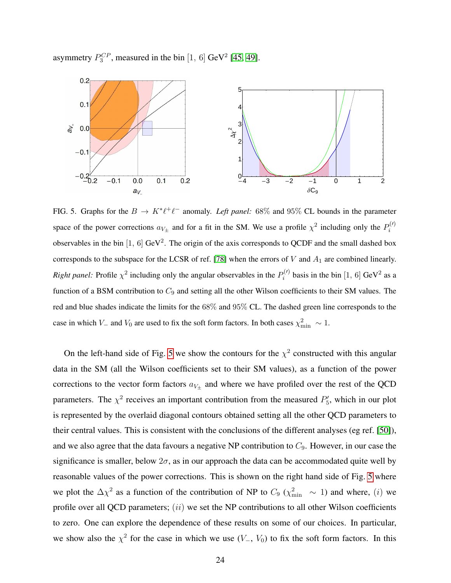asymmetry  $P_3^{CP}$ , measured in the bin [1, 6] GeV<sup>2</sup> [\[45,](#page-36-0) [49\]](#page-36-4).



FIG. 5. Graphs for the  $B \to K^* \ell^+ \ell^-$  anomaly. *Left panel:* 68% and 95% CL bounds in the parameter space of the power corrections  $a_{V_{\pm}}$  and for a fit in the SM. We use a profile  $\chi^2$  including only the  $P_i^{(l)}$ i observables in the bin [1, 6] GeV<sup>2</sup>. The origin of the axis corresponds to QCDF and the small dashed box corresponds to the subspace for the LCSR of ref. [\[78\]](#page-37-6) when the errors of  $V$  and  $A_1$  are combined linearly. *Right panel:* Profile  $\chi^2$  including only the angular observables in the  $P_i^{(l)}$  $i^{(1)}$  basis in the bin [1, 6] GeV<sup>2</sup> as a function of a BSM contribution to  $C_9$  and setting all the other Wilson coefficients to their SM values. The red and blue shades indicate the limits for the 68% and 95% CL. The dashed green line corresponds to the case in which  $V_-$  and  $V_0$  are used to fix the soft form factors. In both cases  $\chi^2_{\rm min} \sim 1$ .

<span id="page-24-0"></span>On the left-hand side of Fig. [5](#page-23-0) we show the contours for the  $\chi^2$  constructed with this angular data in the SM (all the Wilson coefficients set to their SM values), as a function of the power corrections to the vector form factors  $a_{V_{\pm}}$  and where we have profiled over the rest of the QCD parameters. The  $\chi^2$  receives an important contribution from the measured  $P'_5$ , which in our plot is represented by the overlaid diagonal contours obtained setting all the other QCD parameters to their central values. This is consistent with the conclusions of the different analyses (eg ref. [\[50\]](#page-36-5)), and we also agree that the data favours a negative NP contribution to  $C_9$ . However, in our case the significance is smaller, below  $2\sigma$ , as in our approach the data can be accommodated quite well by reasonable values of the power corrections. This is shown on the right hand side of Fig. [5](#page-23-0) where we plot the  $\Delta \chi^2$  as a function of the contribution of NP to  $C_9$  ( $\chi^2_{\rm min}$  ~ 1) and where, (*i*) we profile over all QCD parameters;  $(ii)$  we set the NP contributions to all other Wilson coefficients to zero. One can explore the dependence of these results on some of our choices. In particular, we show also the  $\chi^2$  for the case in which we use  $(V_-, V_0)$  to fix the soft form factors. In this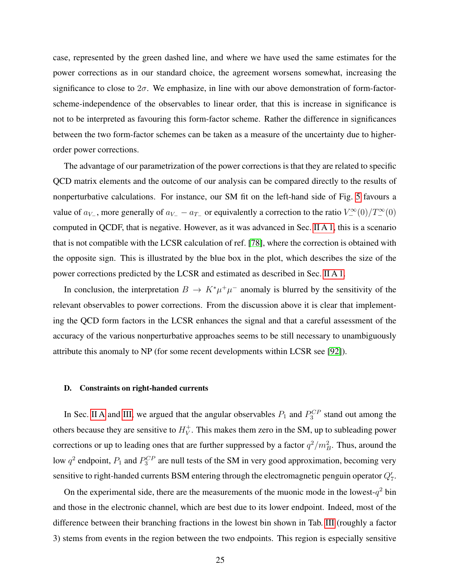<span id="page-25-0"></span>case, represented by the green dashed line, and where we have used the same estimates for the power corrections as in our standard choice, the agreement worsens somewhat, increasing the significance to close to  $2\sigma$ . We emphasize, in line with our above demonstration of form-factorscheme-independence of the observables to linear order, that this is increase in significance is not to be interpreted as favouring this form-factor scheme. Rather the difference in significances between the two form-factor schemes can be taken as a measure of the uncertainty due to higherorder power corrections.

The advantage of our parametrization of the power corrections is that they are related to specific QCD matrix elements and the outcome of our analysis can be compared directly to the results of nonperturbative calculations. For instance, our SM fit on the left-hand side of Fig. [5](#page-23-0) favours a value of  $a_{V-}$ , more generally of  $a_{V-} - a_{T-}$  or equivalently a correction to the ratio  $V_-^{\infty}(0)/T_-^{\infty}(0)$ computed in QCDF, that is negative. However, as it was advanced in Sec. [II A 1,](#page-5-5) this is a scenario that is not compatible with the LCSR calculation of ref. [\[78\]](#page-37-6), where the correction is obtained with the opposite sign. This is illustrated by the blue box in the plot, which describes the size of the power corrections predicted by the LCSR and estimated as described in Sec. [II A 1.](#page-5-5)

In conclusion, the interpretation  $B \to K^* \mu^+ \mu^-$  anomaly is blurred by the sensitivity of the relevant observables to power corrections. From the discussion above it is clear that implementing the QCD form factors in the LCSR enhances the signal and that a careful assessment of the accuracy of the various nonperturbative approaches seems to be still necessary to unambiguously attribute this anomaly to NP (for some recent developments within LCSR see [\[92\]](#page-38-4)).

#### D. Constraints on right-handed currents

In Sec. [II A](#page-4-0) and [III,](#page-14-0) we argued that the angular observables  $P_1$  and  $P_3^{CP}$  stand out among the others because they are sensitive to  $H_V^+$  $_V^+$ . This makes them zero in the SM, up to subleading power corrections or up to leading ones that are further suppressed by a factor  $q^2/m_B^2$ . Thus, around the low  $q^2$  endpoint,  $P_1$  and  $P_3^{CP}$  are null tests of the SM in very good approximation, becoming very sensitive to right-handed currents BSM entering through the electromagnetic penguin operator  $Q'_7$ .

On the experimental side, there are the measurements of the muonic mode in the lowest- $q^2$  bin and those in the electronic channel, which are best due to its lower endpoint. Indeed, most of the difference between their branching fractions in the lowest bin shown in Tab. [III](#page-21-0) (roughly a factor 3) stems from events in the region between the two endpoints. This region is especially sensitive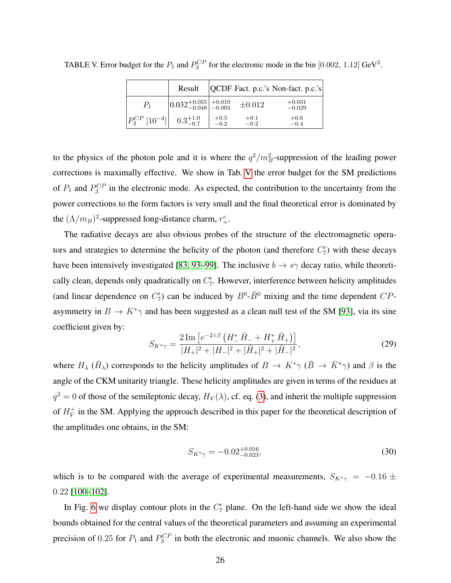|                                                    | Result                                                     |                  |                  | QCDF Fact. p.c.'s Non-fact. p.c.'s |
|----------------------------------------------------|------------------------------------------------------------|------------------|------------------|------------------------------------|
| $P_1$                                              | $\left  0.032^{+0.055}_{-0.048} \right ^{+0.010}_{-0.003}$ |                  | $\pm 0.012$      | $+0.031$<br>$-0.029$               |
| $P_3^{CP}$ [10 <sup>-4</sup> ] $0.3^{+1.0}_{-0.7}$ |                                                            | $^{+0.5}_{-0.2}$ | $+0.1$<br>$-0.2$ | $+0.6$<br>$-0.4$                   |

TABLE V. Error budget for the  $P_1$  and  $P_3^{CP}$  for the electronic mode in the bin [0.002, 1.12] GeV<sup>2</sup>.

<span id="page-26-0"></span>to the physics of the photon pole and it is where the  $q^2/m_B^2$ -suppression of the leading power corrections is maximally effective. We show in Tab. [V](#page-25-0) the error budget for the SM predictions of  $P_1$  and  $P_3^{CP}$  in the electronic mode. As expected, the contribution to the uncertainty from the power corrections to the form factors is very small and the final theoretical error is dominated by the  $(\Lambda/m_B)^2$ -suppressed long-distance charm,  $r_+^c$ .

The radiative decays are also obvious probes of the structure of the electromagnetic operators and strategies to determine the helicity of the photon (and therefore  $C'_7$ ) with these decays have been intensively investigated [\[83,](#page-37-12) [93](#page-38-5)[–99\]](#page-38-6). The inclusive  $b \to s\gamma$  decay ratio, while theoretically clean, depends only quadratically on  $C<sub>7</sub>$ . However, interference between helicity amplitudes (and linear dependence on  $C_7'$ ) can be induced by  $B^0$ - $\bar{B}^0$  mixing and the time dependent  $CP$ asymmetry in  $B \to K^*\gamma$  and has been suggested as a clean null test of the SM [\[93\]](#page-38-5), via its sine coefficient given by:

$$
S_{K^*\gamma} = \frac{2\operatorname{Im}\left[e^{-2i\beta}\left(H_-^* \bar{H}_- + H_+^* \bar{H}_+\right)\right]}{|H_+|^2 + |H_-|^2 + |\bar{H}_+|^2 + |\bar{H}_-|^2},\tag{29}
$$

where  $H_\lambda$  ( $\bar{H}_\lambda$ ) corresponds to the helicity amplitudes of  $B \to K^*\gamma$  ( $\bar{B} \to \bar{K}^*\gamma$ ) and  $\beta$  is the angle of the CKM unitarity triangle. These helicity amplitudes are given in terms of the residues at  $q^2 = 0$  of those of the semileptonic decay,  $H_V(\lambda)$ , cf. eq. [\(3\)](#page-3-2), and inherit the multiple suppression of  $H_V^+$  $_V^+$  in the SM. Applying the approach described in this paper for the theoretical description of the amplitudes one obtains, in the SM:

$$
S_{K^*\gamma} = -0.02^{+0.016}_{-0.023},\tag{30}
$$

which is to be compared with the average of experimental measurements,  $S_{K^*\gamma} = -0.16 \pm 10^{-10}$ 0.22 [\[100–](#page-38-7)[102\]](#page-38-8).

In Fig. [6](#page-26-0) we display contour plots in the  $C<sub>7</sub>$  plane. On the left-hand side we show the ideal bounds obtained for the central values of the theoretical parameters and assuming an experimental precision of 0.25 for  $P_1$  and  $P_3^{CP}$  in both the electronic and muonic channels. We also show the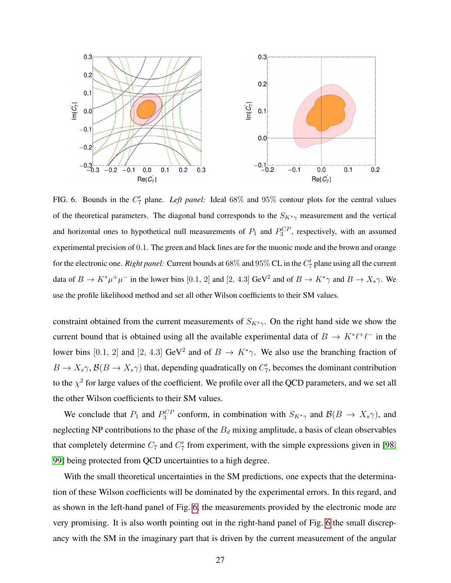

<span id="page-27-1"></span>FIG. 6. Bounds in the  $C_7'$  plane. *Left panel:* Ideal 68% and 95% contour plots for the central values of the theoretical parameters. The diagonal band corresponds to the  $S_{K^*\gamma}$  measurement and the vertical and horizontal ones to hypothetical null measurements of  $P_1$  and  $P_3^{CP}$ , respectively, with an assumed experimental precision of 0.1. The green and black lines are for the muonic mode and the brown and orange for the electronic one. *Right panel:* Current bounds at 68% and 95% CL in the  $C_7'$  plane using all the current data of  $B \to K^*\mu^+\mu^-$  in the lower bins [0.1, 2] and [2, 4.3] GeV<sup>2</sup> and of  $B \to K^*\gamma$  and  $B \to X_s\gamma$ . We use the profile likelihood method and set all other Wilson coefficients to their SM values.

constraint obtained from the current measurements of  $S_{K^*\gamma}$ . On the right hand side we show the current bound that is obtained using all the available experimental data of  $B \to K^* \ell^+ \ell^-$  in the lower bins [0.1, 2] and [2, 4.3] GeV<sup>2</sup> and of  $B \to K^*\gamma$ . We also use the branching fraction of  $B \to X_s \gamma$ ,  $\mathcal{B}(B \to X_s \gamma)$  that, depending quadratically on  $C'_7$ , becomes the dominant contribution to the  $\chi^2$  for large values of the coefficient. We profile over all the QCD parameters, and we set all the other Wilson coefficients to their SM values.

We conclude that  $P_1$  and  $P_3^{CP}$  conform, in combination with  $S_{K^*\gamma}$  and  $\mathcal{B}(B \to X_s \gamma)$ , and neglecting NP contributions to the phase of the  $B_d$  mixing amplitude, a basis of clean observables that completely determine  $C_7$  and  $C'_7$  from experiment, with the simple expressions given in [\[98,](#page-38-9) [99\]](#page-38-6) being protected from QCD uncertainties to a high degree.

<span id="page-27-0"></span>With the small theoretical uncertainties in the SM predictions, one expects that the determination of these Wilson coefficients will be dominated by the experimental errors. In this regard, and as shown in the left-hand panel of Fig. [6,](#page-26-0) the measurements provided by the electronic mode are very promising. It is also worth pointing out in the right-hand panel of Fig. [6](#page-26-0) the small discrepancy with the SM in the imaginary part that is driven by the current measurement of the angular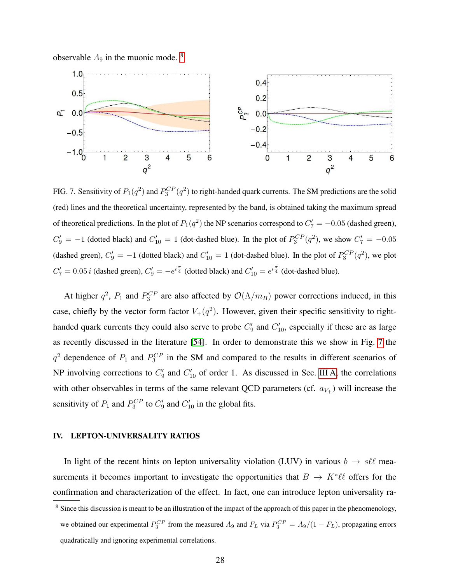<span id="page-28-0"></span>observable  $A_9$  in the muonic mode.  $8$ 



<span id="page-28-1"></span>FIG. 7. Sensitivity of  $P_1(q^2)$  and  $P_3^{CP}(q^2)$  to right-handed quark currents. The SM predictions are the solid (red) lines and the theoretical uncertainty, represented by the band, is obtained taking the maximum spread of theoretical predictions. In the plot of  $P_1(q^2)$  the NP scenarios correspond to  $C_7' = -0.05$  (dashed green),  $C_9' = -1$  (dotted black) and  $C_{10}' = 1$  (dot-dashed blue). In the plot of  $P_3^{CP}(q^2)$ , we show  $C_7' = -0.05$ (dashed green),  $C_9' = -1$  (dotted black) and  $C_{10}' = 1$  (dot-dashed blue). In the plot of  $P_3^{CP}(q^2)$ , we plot  $C'_7 = 0.05 i$  (dashed green),  $C'_9 = -e^{i\frac{\pi}{4}}$  (dotted black) and  $C'_{10} = e^{i\frac{\pi}{4}}$  (dot-dashed blue).

<span id="page-28-2"></span>At higher  $q^2$ ,  $P_1$  and  $P_3^{CP}$  are also affected by  $\mathcal{O}(\Lambda/m_B)$  power corrections induced, in this case, chiefly by the vector form factor  $V_+(q^2)$ . However, given their specific sensitivity to righthanded quark currents they could also serve to probe  $C'_9$  and  $C'_{10}$ , especially if these are as large as recently discussed in the literature [\[54\]](#page-36-7). In order to demonstrate this we show in Fig. [7](#page-27-1) the  $q^2$  dependence of  $P_1$  and  $P_3^{CP}$  in the SM and compared to the results in different scenarios of NP involving corrections to  $C_9'$  and  $C_{10}'$  of order 1. As discussed in Sec. [III A,](#page-17-1) the correlations with other observables in terms of the same relevant QCD parameters (cf.  $a_{V_+}$ ) will increase the sensitivity of  $P_1$  and  $P_3^{CP}$  to  $C_9'$  and  $C_{10}'$  in the global fits.

#### IV. LEPTON-UNIVERSALITY RATIOS

In light of the recent hints on lepton universality violation (LUV) in various  $b \rightarrow s \ell \ell$  measurements it becomes important to investigate the opportunities that  $B \to K^* \ell \ell$  offers for the confirmation and characterization of the effect. In fact, one can introduce lepton universality ra-

<sup>&</sup>lt;sup>8</sup> Since this discussion is meant to be an illustration of the impact of the approach of this paper in the phenomenology, we obtained our experimental  $P_3^{CP}$  from the measured  $A_9$  and  $F_L$  via  $P_3^{CP} = A_9/(1 - F_L)$ , propagating errors quadratically and ignoring experimental correlations.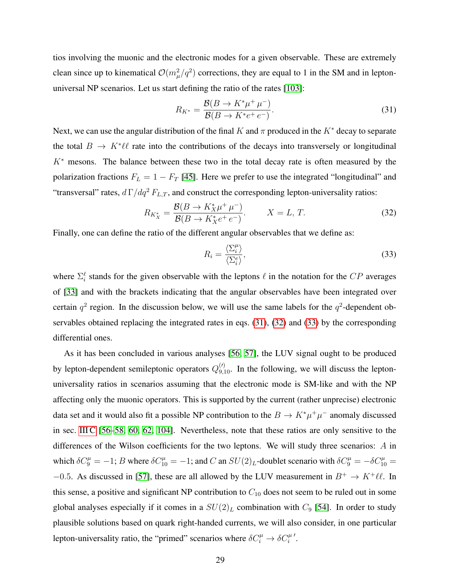tios involving the muonic and the electronic modes for a given observable. These are extremely clean since up to kinematical  $\mathcal{O}(m_\mu^2/q^2)$  corrections, they are equal to 1 in the SM and in leptonuniversal NP scenarios. Let us start defining the ratio of the rates [\[103\]](#page-38-10):

$$
R_{K^*} = \frac{\mathcal{B}(B \to K^* \mu^+ \mu^-)}{\mathcal{B}(B \to K^* e^+ e^-)}.
$$
\n(31)

Next, we can use the angular distribution of the final K and  $\pi$  produced in the K<sup>\*</sup> decay to separate the total  $B \to K^*\ell\ell$  rate into the contributions of the decays into transversely or longitudinal  $K<sup>*</sup>$  mesons. The balance between these two in the total decay rate is often measured by the polarization fractions  $F_L = 1 - F_T$  [\[45\]](#page-36-0). Here we prefer to use the integrated "longitudinal" and "transversal" rates,  $d\Gamma/dq^2 F_{L,T}$ , and construct the corresponding lepton-universality ratios:

$$
R_{K_X^*} = \frac{\mathcal{B}(B \to K_X^* \mu^+ \mu^-)}{\mathcal{B}(B \to K_X^* e^+ e^-)}.
$$
 (32)

Finally, one can define the ratio of the different angular observables that we define as:

$$
R_i = \frac{\langle \Sigma_i^{\mu} \rangle}{\langle \Sigma_i^e \rangle},\tag{33}
$$

<span id="page-29-0"></span>where  $\Sigma_i^{\ell}$  stands for the given observable with the leptons  $\ell$  in the notation for the  $CP$  averages of [\[33\]](#page-35-5) and with the brackets indicating that the angular observables have been integrated over certain  $q^2$  region. In the discussion below, we will use the same labels for the  $q^2$ -dependent observables obtained replacing the integrated rates in eqs. [\(31\)](#page-28-0), [\(32\)](#page-28-1) and [\(33\)](#page-28-2) by the corresponding differential ones.

As it has been concluded in various analyses [\[56,](#page-36-10) [57\]](#page-36-21), the LUV signal ought to be produced by lepton-dependent semileptonic operators  $Q_{9,10}^{(\prime)}$ . In the following, we will discuss the leptonuniversality ratios in scenarios assuming that the electronic mode is SM-like and with the NP affecting only the muonic operators. This is supported by the current (rather unprecise) electronic data set and it would also fit a possible NP contribution to the  $B \to K^* \mu^+ \mu^-$  anomaly discussed in sec. [III C](#page-20-0) [\[56–](#page-36-10)[58,](#page-36-22) [60,](#page-36-23) [62,](#page-36-11) [104\]](#page-38-11). Nevertheless, note that these ratios are only sensitive to the differences of the Wilson coefficients for the two leptons. We will study three scenarios:  $A$  in which  $\delta C_9^{\mu} = -1$ ; B where  $\delta C_{10}^{\mu} = -1$ ; and C an  $SU(2)_L$ -doublet scenario with  $\delta C_9^{\mu} = -\delta C_{10}^{\mu} =$ −0.5. As discussed in [\[57\]](#page-36-21), these are all allowed by the LUV measurement in  $B^+ \to K^+ \ell \ell$ . In this sense, a positive and significant NP contribution to  $C_{10}$  does not seem to be ruled out in some global analyses especially if it comes in a  $SU(2)_L$  combination with  $C_9$  [\[54\]](#page-36-7). In order to study plausible solutions based on quark right-handed currents, we will also consider, in one particular lepton-universality ratio, the "primed" scenarios where  $\delta C_i^{\mu} \to \delta C_i^{\mu'}$ .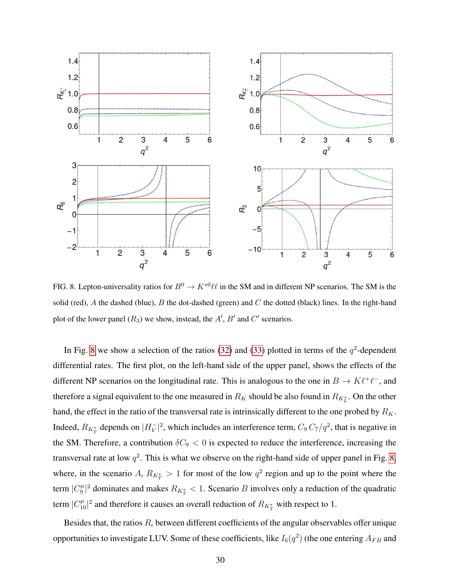<span id="page-30-0"></span>

FIG. 8. Lepton-universality ratios for  $B^0 \to K^{*0} \ell \ell$  in the SM and in different NP scenarios. The SM is the solid (red), A the dashed (blue), B the dot-dashed (green) and C the dotted (black) lines. In the right-hand plot of the lower panel  $(R_3)$  we show, instead, the  $A'$ ,  $B'$  and  $C'$  scenarios.

In Fig. [8](#page-29-0) we show a selection of the ratios [\(32\)](#page-28-1) and [\(33\)](#page-28-2) plotted in terms of the  $q^2$ -dependent differential rates. The first plot, on the left-hand side of the upper panel, shows the effects of the different NP scenarios on the longitudinal rate. This is analogous to the one in  $B \to K \ell^+ \ell^-$ , and therefore a signal equivalent to the one measured in  $R_K$  should be also found in  $R_{K_L^*}$ . On the other hand, the effect in the ratio of the transversal rate is intrinsically different to the one probed by  $R_K$ . Indeed,  $R_{K_T^*}$  depends on  $|H_V^-|$  $|V|^{2}$ , which includes an interference term,  $C_9 C_7/q^2$ , that is negative in the SM. Therefore, a contribution  $\delta C_9 < 0$  is expected to reduce the interference, increasing the transversal rate at low  $q^2$ . This is what we observe on the right-hand side of upper panel in Fig. [8,](#page-29-0) where, in the scenario A,  $R_{K_T^*} > 1$  for most of the low  $q^2$  region and up to the point where the term  $|C_9^{\mu}$  $\frac{1}{9}$ <sup> $\mu$ </sup> dominates and makes  $R_{K_T^*}$  < 1. Scenario *B* involves only a reduction of the quadratic term  $|C_{10}^{\mu}|^2$  and therefore it causes an overall reduction of  $R_{K_T^*}$  with respect to 1.

Besides that, the ratios  $R_i$  between different coefficients of the angular observables offer unique opportunities to investigate LUV. Some of these coefficients, like  $I_6(q^2)$  (the one entering  $A_{FB}$  and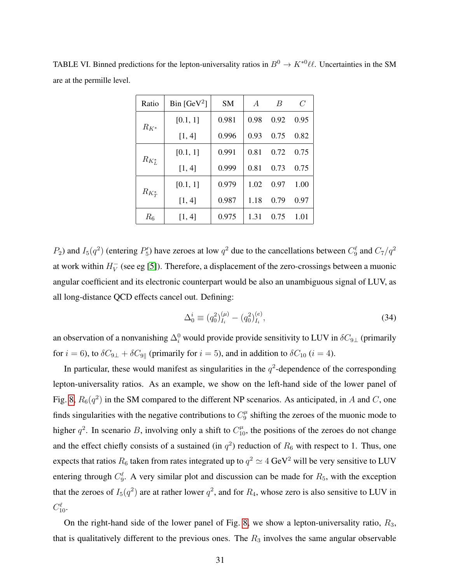| Ratio       | Bin [ $GeV^2$ ] | <b>SM</b> | $\overline{A}$ | B    | $\mathcal C$ |
|-------------|-----------------|-----------|----------------|------|--------------|
| $R_{K^*}$   | [0.1, 1]        | 0.981     | 0.98           | 0.92 | 0.95         |
|             | [1, 4]          | 0.996     | 0.93           | 0.75 | 0.82         |
|             | [0.1, 1]        | 0.991     | 0.81           | 0.72 | 0.75         |
| $R_{K_L^*}$ | [1, 4]          | 0.999     | 0.81           | 0.73 | 0.75         |
|             | [0.1, 1]        | 0.979     | 1.02           | 0.97 | 1.00         |
| $R_{K^*_T}$ | [1, 4]          | 0.987     | 1.18           | 0.79 | 0.97         |
| $R_6$       | [1, 4]          | 0.975     | 1.31           | 0.75 | 1.01         |

TABLE VI. Binned predictions for the lepton-universality ratios in  $B^0 \to K^{*0} \ell \ell$ . Uncertainties in the SM are at the permille level.

 $P_2$ ) and  $I_5(q^2)$  (entering  $P'_5$ ) have zeroes at low  $q^2$  due to the cancellations between  $C_9^{\ell}$  and  $C_7/q^2$ at work within  $H_V^ _{V}^{-}$  (see eg [\[5\]](#page-34-2)). Therefore, a displacement of the zero-crossings between a muonic angular coefficient and its electronic counterpart would be also an unambiguous signal of LUV, as all long-distance QCD effects cancel out. Defining:

$$
\Delta_0^i \equiv (q_0^2)_{I_i}^{(\mu)} - (q_0^2)_{I_i}^{(e)},\tag{34}
$$

an observation of a nonvanishing  $\Delta_i^0$  would provide provide sensitivity to LUV in  $\delta C_{9\perp}$  (primarily for  $i = 6$ ), to  $\delta C_{9\perp} + \delta C_{9\parallel}$  (primarily for  $i = 5$ ), and in addition to  $\delta C_{10}$   $(i = 4)$ .

In particular, these would manifest as singularities in the  $q^2$ -dependence of the corresponding lepton-universality ratios. As an example, we show on the left-hand side of the lower panel of Fig. [8,](#page-29-0)  $R_6(q^2)$  in the SM compared to the different NP scenarios. As anticipated, in A and C, one finds singularities with the negative contributions to  $C_9^{\mu}$  $\frac{\mu}{9}$  shifting the zeroes of the muonic mode to higher  $q^2$ . In scenario B, involving only a shift to  $C_{10}^{\mu}$ , the positions of the zeroes do not change and the effect chiefly consists of a sustained (in  $q^2$ ) reduction of  $R_6$  with respect to 1. Thus, one expects that ratios  $R_6$  taken from rates integrated up to  $q^2 \simeq 4~{\rm GeV^2}$  will be very sensitive to LUV entering through  $C_9^{\ell}$ . A very similar plot and discussion can be made for  $R_5$ , with the exception that the zeroes of  $I_5(q^2)$  are at rather lower  $q^2$ , and for  $R_4$ , whose zero is also sensitive to LUV in  $C_{10}^{\ell}$ .

On the right-hand side of the lower panel of Fig. [8,](#page-29-0) we show a lepton-universality ratio,  $R_3$ , that is qualitatively different to the previous ones. The  $R_3$  involves the same angular observable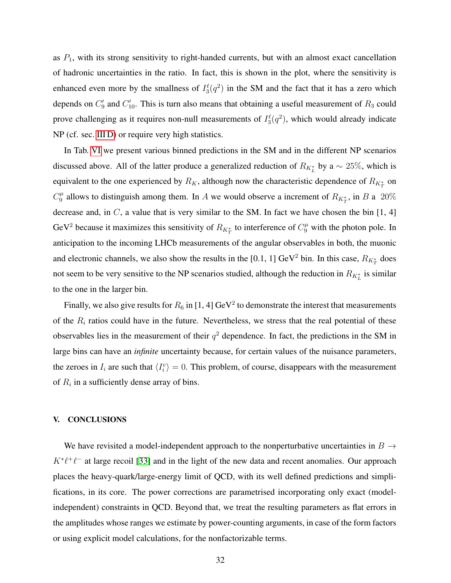as  $P_1$ , with its strong sensitivity to right-handed currents, but with an almost exact cancellation of hadronic uncertainties in the ratio. In fact, this is shown in the plot, where the sensitivity is enhanced even more by the smallness of  $I_3^{\ell}(q^2)$  in the SM and the fact that it has a zero which depends on  $C'_9$  and  $C'_{10}$ . This is turn also means that obtaining a useful measurement of  $R_3$  could prove challenging as it requires non-null measurements of  $I_3^{\ell}(q^2)$ , which would already indicate NP (cf. sec. [III D\)](#page-24-0) or require very high statistics.

In Tab. [VI](#page-30-0) we present various binned predictions in the SM and in the different NP scenarios discussed above. All of the latter produce a generalized reduction of  $R_{K_L^*}$  by a  $\sim 25\%$ , which is equivalent to the one experienced by  $R_K$ , although now the characteristic dependence of  $R_{K_T^*}$  on  $C_9^{\mu}$  $\frac{\mu}{9}$  allows to distinguish among them. In A we would observe a increment of  $R_{K_T^*}$ , in B a 20% decrease and, in  $C$ , a value that is very similar to the SM. In fact we have chosen the bin  $[1, 4]$ GeV<sup>2</sup> because it maximizes this sensitivity of  $R_{K_T^*}$  to interference of  $C_9^{\mu}$  with the photon pole. In anticipation to the incoming LHCb measurements of the angular observables in both, the muonic and electronic channels, we also show the results in the [0.1, 1] GeV<sup>2</sup> bin. In this case,  $R_{K_T^*}$  does not seem to be very sensitive to the NP scenarios studied, although the reduction in  $R_{K_L^*}$  is similar to the one in the larger bin.

Finally, we also give results for  $R_6$  in [1, 4] GeV<sup>2</sup> to demonstrate the interest that measurements of the  $R_i$  ratios could have in the future. Nevertheless, we stress that the real potential of these observables lies in the measurement of their  $q^2$  dependence. In fact, the predictions in the SM in large bins can have an *infinite* uncertainty because, for certain values of the nuisance parameters, the zeroes in  $I_i$  are such that  $\langle I_i^e \rangle = 0$ . This problem, of course, disappears with the measurement of  $R_i$  in a sufficiently dense array of bins.

#### V. CONCLUSIONS

We have revisited a model-independent approach to the nonperturbative uncertainties in  $B \rightarrow$  $K^*\ell^+\ell^-$  at large recoil [\[33\]](#page-35-5) and in the light of the new data and recent anomalies. Our approach places the heavy-quark/large-energy limit of QCD, with its well defined predictions and simplifications, in its core. The power corrections are parametrised incorporating only exact (modelindependent) constraints in QCD. Beyond that, we treat the resulting parameters as flat errors in the amplitudes whose ranges we estimate by power-counting arguments, in case of the form factors or using explicit model calculations, for the nonfactorizable terms.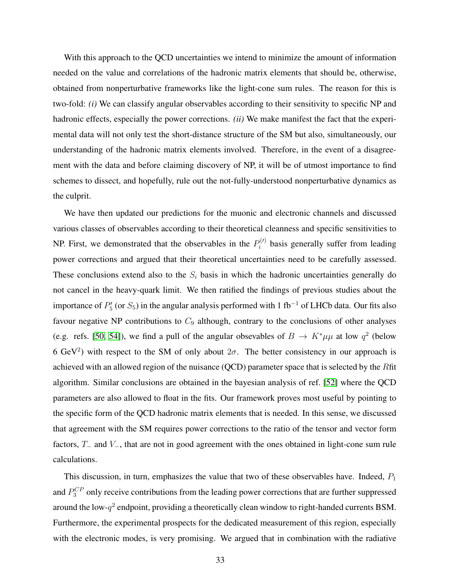With this approach to the QCD uncertainties we intend to minimize the amount of information needed on the value and correlations of the hadronic matrix elements that should be, otherwise, obtained from nonperturbative frameworks like the light-cone sum rules. The reason for this is two-fold: *(i)* We can classify angular observables according to their sensitivity to specific NP and hadronic effects, especially the power corrections. *(ii)* We make manifest the fact that the experimental data will not only test the short-distance structure of the SM but also, simultaneously, our understanding of the hadronic matrix elements involved. Therefore, in the event of a disagreement with the data and before claiming discovery of NP, it will be of utmost importance to find schemes to dissect, and hopefully, rule out the not-fully-understood nonperturbative dynamics as the culprit.

We have then updated our predictions for the muonic and electronic channels and discussed various classes of observables according to their theoretical cleanness and specific sensitivities to NP. First, we demonstrated that the observables in the  $P_i^{(l)}$  $i^{(1)}$  basis generally suffer from leading power corrections and argued that their theoretical uncertainties need to be carefully assessed. These conclusions extend also to the  $S_i$  basis in which the hadronic uncertainties generally do not cancel in the heavy-quark limit. We then ratified the findings of previous studies about the importance of  $P_5'$  (or  $S_5$ ) in the angular analysis performed with 1 fb<sup>-1</sup> of LHCb data. Our fits also favour negative NP contributions to  $C_9$  although, contrary to the conclusions of other analyses (e.g. refs. [\[50,](#page-36-5) [54\]](#page-36-7)), we find a pull of the angular obsevables of  $B \to K^* \mu \mu$  at low  $q^2$  (below 6 GeV<sup>2</sup>) with respect to the SM of only about  $2\sigma$ . The better consistency in our approach is achieved with an allowed region of the nuisance (QCD) parameter space that is selected by the Rfit algorithm. Similar conclusions are obtained in the bayesian analysis of ref. [\[52\]](#page-36-8) where the QCD parameters are also allowed to float in the fits. Our framework proves most useful by pointing to the specific form of the QCD hadronic matrix elements that is needed. In this sense, we discussed that agreement with the SM requires power corrections to the ratio of the tensor and vector form factors, T<sup>−</sup> and V−, that are not in good agreement with the ones obtained in light-cone sum rule calculations.

This discussion, in turn, emphasizes the value that two of these observables have. Indeed,  $P_1$ and  $P_3^{CP}$  only receive contributions from the leading power corrections that are further suppressed around the low- $q^2$  endpoint, providing a theoretically clean window to right-handed currents BSM. Furthermore, the experimental prospects for the dedicated measurement of this region, especially with the electronic modes, is very promising. We argued that in combination with the radiative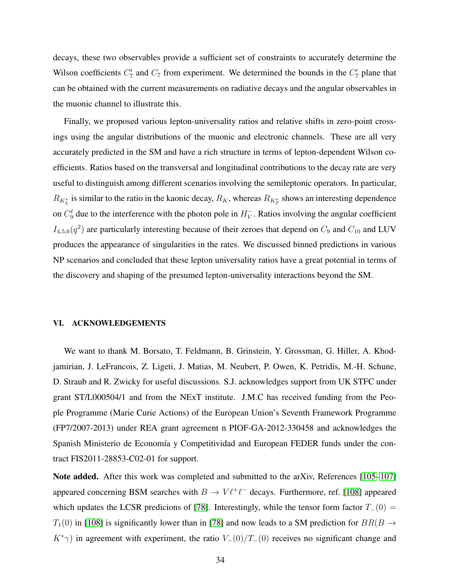decays, these two observables provide a sufficient set of constraints to accurately determine the Wilson coefficients  $C_7'$  and  $C_7$  from experiment. We determined the bounds in the  $C_7'$  plane that can be obtained with the current measurements on radiative decays and the angular observables in the muonic channel to illustrate this.

<span id="page-34-4"></span><span id="page-34-2"></span><span id="page-34-0"></span>Finally, we proposed various lepton-universality ratios and relative shifts in zero-point crossings using the angular distributions of the muonic and electronic channels. These are all very accurately predicted in the SM and have a rich structure in terms of lepton-dependent Wilson coefficients. Ratios based on the transversal and longitudinal contributions to the decay rate are very useful to distinguish among different scenarios involving the semileptonic operators. In particular,  $R_{K_L^*}$  is similar to the ratio in the kaonic decay,  $R_K$ , whereas  $R_{K_T^*}$  shows an interesting dependence on  $C_9^{\ell}$  due to the interference with the photon pole in  $H_V^ \bar{V}$ . Ratios involving the angular coefficient  $I_{4,5,6}(q^2)$  are particularly interesting because of their zeroes that depend on  $C_9$  and  $C_{10}$  and LUV produces the appearance of singularities in the rates. We discussed binned predictions in various NP scenarios and concluded that these lepton universality ratios have a great potential in terms of the discovery and shaping of the presumed lepton-universality interactions beyond the SM.

#### <span id="page-34-7"></span><span id="page-34-5"></span><span id="page-34-3"></span><span id="page-34-1"></span>VI. ACKNOWLEDGEMENTS

We want to thank M. Borsato, T. Feldmann, B. Grinstein, Y. Grossman, G. Hiller, A. Khodjamirian, J. LeFrancois, Z. Ligeti, J. Matias, M. Neubert, P. Owen, K. Petridis, M.-H. Schune, D. Straub and R. Zwicky for useful discussions. S.J. acknowledges support from UK STFC under grant ST/L000504/1 and from the NExT institute. J.M.C has received funding from the People Programme (Marie Curie Actions) of the European Union's Seventh Framework Programme (FP7/2007-2013) under REA grant agreement n PIOF-GA-2012-330458 and acknowledges the Spanish Ministerio de Economía y Competitividad and European FEDER funds under the contract FIS2011-28853-C02-01 for support.

<span id="page-34-6"></span>Note added. After this work was completed and submitted to the arXiv, References [\[105](#page-38-12)[–107\]](#page-38-13) appeared concerning BSM searches with  $B \to V \ell^+ \ell^-$  decays. Furthermore, ref. [\[108\]](#page-38-14) appeared which updates the LCSR predicions of [\[78\]](#page-37-6). Interestingly, while the tensor form factor  $T_-(0)$  =  $T_1(0)$  in [\[108\]](#page-38-14) is significantly lower than in [\[78\]](#page-37-6) and now leads to a SM prediction for  $BR(B \rightarrow$  $K^*\gamma$ ) in agreement with experiment, the ratio  $V_-(0)/T_-(0)$  receives no significant change and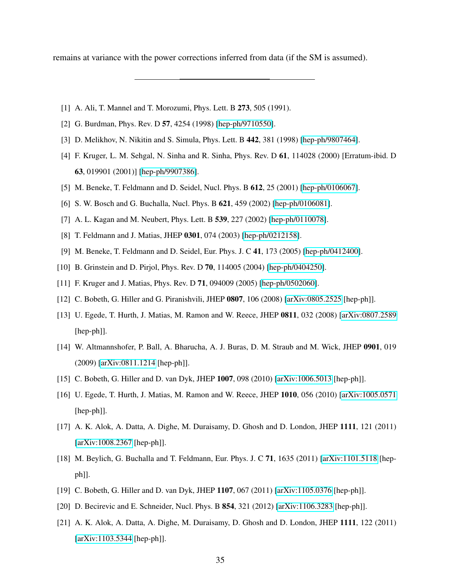<span id="page-35-9"></span>remains at variance with the power corrections inferred from data (if the SM is assumed).

- [1] A. Ali, T. Mannel and T. Morozumi, Phys. Lett. B 273, 505 (1991).
- [2] G. Burdman, Phys. Rev. D 57, 4254 (1998) [\[hep-ph/9710550\]](http://arxiv.org/abs/hep-ph/9710550).
- [3] D. Melikhov, N. Nikitin and S. Simula, Phys. Lett. B 442, 381 (1998) [\[hep-ph/9807464\]](http://arxiv.org/abs/hep-ph/9807464).
- <span id="page-35-6"></span>[4] F. Kruger, L. M. Sehgal, N. Sinha and R. Sinha, Phys. Rev. D 61, 114028 (2000) [Erratum-ibid. D 63, 019901 (2001)] [\[hep-ph/9907386\]](http://arxiv.org/abs/hep-ph/9907386).
- <span id="page-35-10"></span>[5] M. Beneke, T. Feldmann and D. Seidel, Nucl. Phys. B 612, 25 (2001) [\[hep-ph/0106067\]](http://arxiv.org/abs/hep-ph/0106067).
- [6] S. W. Bosch and G. Buchalla, Nucl. Phys. B **621**, 459 (2002) [\[hep-ph/0106081\]](http://arxiv.org/abs/hep-ph/0106081).
- <span id="page-35-7"></span>[7] A. L. Kagan and M. Neubert, Phys. Lett. B **539**, 227 (2002) [\[hep-ph/0110078\]](http://arxiv.org/abs/hep-ph/0110078).
- [8] T. Feldmann and J. Matias, JHEP 0301, 074 (2003) [\[hep-ph/0212158\]](http://arxiv.org/abs/hep-ph/0212158).
- [9] M. Beneke, T. Feldmann and D. Seidel, Eur. Phys. J. C 41, 173 (2005) [\[hep-ph/0412400\]](http://arxiv.org/abs/hep-ph/0412400).
- <span id="page-35-5"></span>[10] B. Grinstein and D. Pirjol, Phys. Rev. D **70**, 114005 (2004) [\[hep-ph/0404250\]](http://arxiv.org/abs/hep-ph/0404250).
- [11] F. Kruger and J. Matias, Phys. Rev. D 71, 094009 (2005) [\[hep-ph/0502060\]](http://arxiv.org/abs/hep-ph/0502060).
- [12] C. Bobeth, G. Hiller and G. Piranishvili, JHEP 0807, 106 (2008) [\[arXiv:0805.2525](http://arxiv.org/abs/0805.2525) [hep-ph]].
- [13] U. Egede, T. Hurth, J. Matias, M. Ramon and W. Reece, JHEP 0811, 032 (2008) [\[arXiv:0807.2589](http://arxiv.org/abs/0807.2589) [hep-ph]].
- [14] W. Altmannshofer, P. Ball, A. Bharucha, A. J. Buras, D. M. Straub and M. Wick, JHEP 0901, 019 (2009) [\[arXiv:0811.1214](http://arxiv.org/abs/0811.1214) [hep-ph]].
- <span id="page-35-8"></span><span id="page-35-0"></span>[15] C. Bobeth, G. Hiller and D. van Dyk, JHEP 1007, 098 (2010) [\[arXiv:1006.5013](http://arxiv.org/abs/1006.5013) [hep-ph]].
- <span id="page-35-1"></span>[16] U. Egede, T. Hurth, J. Matias, M. Ramon and W. Reece, JHEP 1010, 056 (2010) [\[arXiv:1005.0571](http://arxiv.org/abs/1005.0571) [hep-ph]].
- [17] A. K. Alok, A. Datta, A. Dighe, M. Duraisamy, D. Ghosh and D. London, JHEP 1111, 121 (2011) [\[arXiv:1008.2367](http://arxiv.org/abs/1008.2367) [hep-ph]].
- [18] M. Beylich, G. Buchalla and T. Feldmann, Eur. Phys. J. C 71, 1635 (2011) [\[arXiv:1101.5118](http://arxiv.org/abs/1101.5118) [hepph]].
- <span id="page-35-3"></span><span id="page-35-2"></span>[19] C. Bobeth, G. Hiller and D. van Dyk, JHEP 1107, 067 (2011) [\[arXiv:1105.0376](http://arxiv.org/abs/1105.0376) [hep-ph]].
- [20] D. Becirevic and E. Schneider, Nucl. Phys. B **854**, 321 (2012) [\[arXiv:1106.3283](http://arxiv.org/abs/1106.3283) [hep-ph]].
- <span id="page-35-4"></span>[21] A. K. Alok, A. Datta, A. Dighe, M. Duraisamy, D. Ghosh and D. London, JHEP 1111, 122 (2011) [\[arXiv:1103.5344](http://arxiv.org/abs/1103.5344) [hep-ph]].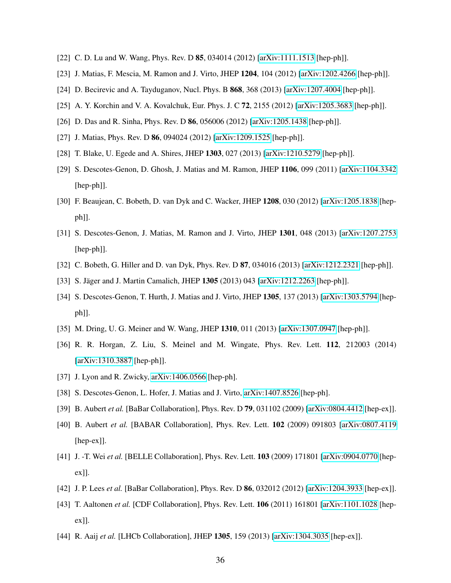- <span id="page-36-20"></span><span id="page-36-19"></span><span id="page-36-0"></span>[22] C. D. Lu and W. Wang, Phys. Rev. D **85**, 034014 (2012) [\[arXiv:1111.1513](http://arxiv.org/abs/1111.1513) [hep-ph]].
- <span id="page-36-1"></span>[23] J. Matias, F. Mescia, M. Ramon and J. Virto, JHEP 1204, 104 (2012) [\[arXiv:1202.4266](http://arxiv.org/abs/1202.4266) [hep-ph]].
- <span id="page-36-2"></span>[24] D. Becirevic and A. Tayduganov, Nucl. Phys. B **868**, 368 (2013) [\[arXiv:1207.4004](http://arxiv.org/abs/1207.4004) [hep-ph]].
- <span id="page-36-3"></span>[25] A. Y. Korchin and V. A. Kovalchuk, Eur. Phys. J. C 72, 2155 (2012) [\[arXiv:1205.3683](http://arxiv.org/abs/1205.3683) [hep-ph]].
- [26] D. Das and R. Sinha, Phys. Rev. D 86, 056006 (2012) [\[arXiv:1205.1438](http://arxiv.org/abs/1205.1438) [hep-ph]].
- <span id="page-36-4"></span>[27] J. Matias, Phys. Rev. D 86, 094024 (2012) [\[arXiv:1209.1525](http://arxiv.org/abs/1209.1525) [hep-ph]].
- [28] T. Blake, U. Egede and A. Shires, JHEP 1303, 027 (2013) [\[arXiv:1210.5279](http://arxiv.org/abs/1210.5279) [hep-ph]].
- <span id="page-36-5"></span>[29] S. Descotes-Genon, D. Ghosh, J. Matias and M. Ramon, JHEP 1106, 099 (2011) [\[arXiv:1104.3342](http://arxiv.org/abs/1104.3342) [hep-ph]].
- <span id="page-36-6"></span>[30] F. Beaujean, C. Bobeth, D. van Dyk and C. Wacker, JHEP 1208, 030 (2012) [\[arXiv:1205.1838](http://arxiv.org/abs/1205.1838) [hepph]].
- <span id="page-36-18"></span><span id="page-36-8"></span>[31] S. Descotes-Genon, J. Matias, M. Ramon and J. Virto, JHEP 1301, 048 (2013) [\[arXiv:1207.2753](http://arxiv.org/abs/1207.2753) [hep-ph]].
- <span id="page-36-9"></span><span id="page-36-7"></span>[32] C. Bobeth, G. Hiller and D. van Dyk, Phys. Rev. D 87, 034016 (2013) [\[arXiv:1212.2321](http://arxiv.org/abs/1212.2321) [hep-ph]].
- [33] S. Jäger and J. Martin Camalich, JHEP 1305 (2013) 043 [\[arXiv:1212.2263](http://arxiv.org/abs/1212.2263) [hep-ph]].
- <span id="page-36-10"></span>[34] S. Descotes-Genon, T. Hurth, J. Matias and J. Virto, JHEP 1305, 137 (2013) [\[arXiv:1303.5794](http://arxiv.org/abs/1303.5794) [hepph]].
- <span id="page-36-22"></span><span id="page-36-21"></span>[35] M. Dring, U. G. Meiner and W. Wang, JHEP 1310, 011 (2013) [\[arXiv:1307.0947](http://arxiv.org/abs/1307.0947) [hep-ph]].
- [36] R. R. Horgan, Z. Liu, S. Meinel and M. Wingate, Phys. Rev. Lett. 112, 212003 (2014) [\[arXiv:1310.3887](http://arxiv.org/abs/1310.3887) [hep-ph]].
- <span id="page-36-23"></span>[37] J. Lyon and R. Zwicky, [arXiv:1406.0566](http://arxiv.org/abs/1406.0566) [hep-ph].
- <span id="page-36-11"></span>[38] S. Descotes-Genon, L. Hofer, J. Matias and J. Virto, [arXiv:1407.8526](http://arxiv.org/abs/1407.8526) [hep-ph].
- <span id="page-36-12"></span>[39] B. Aubert *et al.* [BaBar Collaboration], Phys. Rev. D 79, 031102 (2009) [\[arXiv:0804.4412](http://arxiv.org/abs/0804.4412) [hep-ex]].
- [40] B. Aubert *et al.* [BABAR Collaboration], Phys. Rev. Lett. 102 (2009) 091803 [\[arXiv:0807.4119](http://arxiv.org/abs/0807.4119) [hep-ex]].
- <span id="page-36-13"></span>[41] J. -T. Wei *et al.* [BELLE Collaboration], Phys. Rev. Lett. 103 (2009) 171801 [\[arXiv:0904.0770](http://arxiv.org/abs/0904.0770) [hepex]].
- <span id="page-36-15"></span><span id="page-36-14"></span>[42] J. P. Lees *et al.* [BaBar Collaboration], Phys. Rev. D 86, 032012 (2012) [\[arXiv:1204.3933](http://arxiv.org/abs/1204.3933) [hep-ex]].
- <span id="page-36-16"></span>[43] T. Aaltonen *et al.* [CDF Collaboration], Phys. Rev. Lett. 106 (2011) 161801 [\[arXiv:1101.1028](http://arxiv.org/abs/1101.1028) [hepex]].
- <span id="page-36-17"></span>[44] R. Aaij *et al.* [LHCb Collaboration], JHEP 1305, 159 (2013) [\[arXiv:1304.3035](http://arxiv.org/abs/1304.3035) [hep-ex]].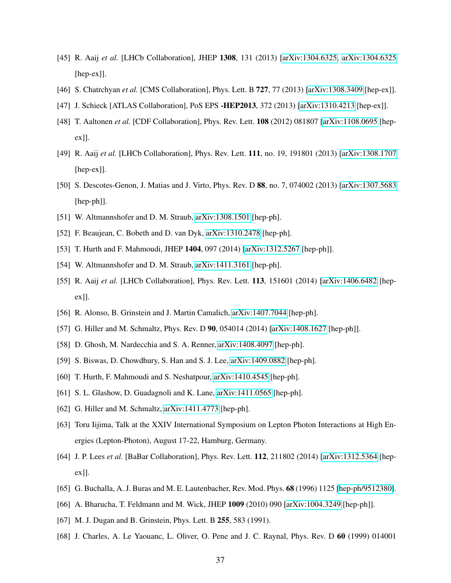- [45] R. Aaij *et al.* [LHCb Collaboration], JHEP 1308, 131 (2013) [\[arXiv:1304.6325, arXiv:1304.6325](http://arxiv.org/abs/1304.6325) [hep-ex]].
- <span id="page-37-9"></span>[46] S. Chatrchyan *et al.* [CMS Collaboration], Phys. Lett. B 727, 77 (2013) [\[arXiv:1308.3409](http://arxiv.org/abs/1308.3409) [hep-ex]].
- [47] J. Schieck [ATLAS Collaboration], PoS EPS -HEP2013, 372 (2013) [\[arXiv:1310.4213](http://arxiv.org/abs/1310.4213) [hep-ex]].
- <span id="page-37-3"></span>[48] T. Aaltonen *et al.* [CDF Collaboration], Phys. Rev. Lett. 108 (2012) 081807 [\[arXiv:1108.0695](http://arxiv.org/abs/1108.0695) [hepex]].
- [49] R. Aaij *et al.* [LHCb Collaboration], Phys. Rev. Lett. 111, no. 19, 191801 (2013) [\[arXiv:1308.1707](http://arxiv.org/abs/1308.1707) [hep-ex]].
- <span id="page-37-0"></span>[50] S. Descotes-Genon, J. Matias and J. Virto, Phys. Rev. D 88, no. 7, 074002 (2013) [\[arXiv:1307.5683](http://arxiv.org/abs/1307.5683) [hep-ph]].
- <span id="page-37-2"></span><span id="page-37-1"></span>[51] W. Altmannshofer and D. M. Straub, [arXiv:1308.1501](http://arxiv.org/abs/1308.1501) [hep-ph].
- <span id="page-37-4"></span>[52] F. Beaujean, C. Bobeth and D. van Dyk, [arXiv:1310.2478](http://arxiv.org/abs/1310.2478) [hep-ph].
- <span id="page-37-5"></span>[53] T. Hurth and F. Mahmoudi, JHEP 1404, 097 (2014) [\[arXiv:1312.5267](http://arxiv.org/abs/1312.5267) [hep-ph]].
- <span id="page-37-6"></span>[54] W. Altmannshofer and D. M. Straub, [arXiv:1411.3161](http://arxiv.org/abs/1411.3161) [hep-ph].
- <span id="page-37-7"></span>[55] R. Aaij *et al.* [LHCb Collaboration], Phys. Rev. Lett. 113, 151601 (2014) [\[arXiv:1406.6482](http://arxiv.org/abs/1406.6482) [hepex]].
- <span id="page-37-8"></span>[56] R. Alonso, B. Grinstein and J. Martin Camalich, [arXiv:1407.7044](http://arxiv.org/abs/1407.7044) [hep-ph].
- [57] G. Hiller and M. Schmaltz, Phys. Rev. D **90**, 054014 (2014) [\[arXiv:1408.1627](http://arxiv.org/abs/1408.1627) [hep-ph]].
- <span id="page-37-10"></span>[58] D. Ghosh, M. Nardecchia and S. A. Renner, [arXiv:1408.4097](http://arxiv.org/abs/1408.4097) [hep-ph].
- <span id="page-37-11"></span>[59] S. Biswas, D. Chowdhury, S. Han and S. J. Lee, [arXiv:1409.0882](http://arxiv.org/abs/1409.0882) [hep-ph].
- <span id="page-37-12"></span>[60] T. Hurth, F. Mahmoudi and S. Neshatpour, [arXiv:1410.4545](http://arxiv.org/abs/1410.4545) [hep-ph].
- [61] S. L. Glashow, D. Guadagnoli and K. Lane, [arXiv:1411.0565](http://arxiv.org/abs/1411.0565) [hep-ph].
- <span id="page-37-13"></span>[62] G. Hiller and M. Schmaltz, [arXiv:1411.4773](http://arxiv.org/abs/1411.4773) [hep-ph].
- <span id="page-37-14"></span>[63] Toru Iijima, Talk at the XXIV International Symposium on Lepton Photon Interactions at High Energies (Lepton-Photon), August 17-22, Hamburg, Germany.
- <span id="page-37-15"></span>[64] J. P. Lees *et al.* [BaBar Collaboration], Phys. Rev. Lett. 112, 211802 (2014) [\[arXiv:1312.5364](http://arxiv.org/abs/1312.5364) [hepex]].
- <span id="page-37-16"></span>[65] G. Buchalla, A. J. Buras and M. E. Lautenbacher, Rev. Mod. Phys. 68 (1996) 1125 [\[hep-ph/9512380\]](http://arxiv.org/abs/hep-ph/9512380).
- <span id="page-37-17"></span>[66] A. Bharucha, T. Feldmann and M. Wick, JHEP 1009 (2010) 090 [\[arXiv:1004.3249](http://arxiv.org/abs/1004.3249) [hep-ph]].
- [67] M. J. Dugan and B. Grinstein, Phys. Lett. B 255, 583 (1991).
- [68] J. Charles, A. Le Yaouanc, L. Oliver, O. Pene and J. C. Raynal, Phys. Rev. D 60 (1999) 014001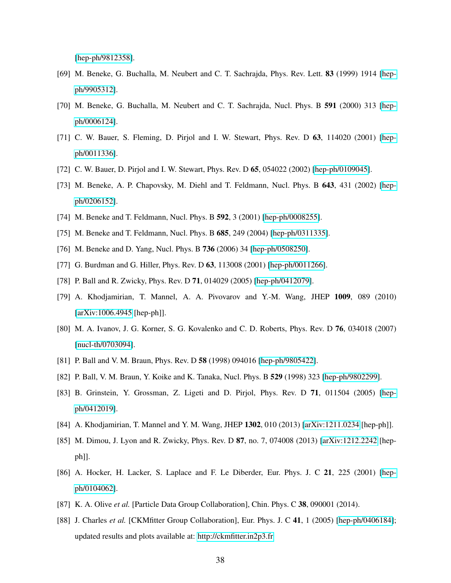<span id="page-38-3"></span><span id="page-38-1"></span>[\[hep-ph/9812358\]](http://arxiv.org/abs/hep-ph/9812358).

- <span id="page-38-0"></span>[69] M. Beneke, G. Buchalla, M. Neubert and C. T. Sachrajda, Phys. Rev. Lett. 83 (1999) 1914 [\[hep](http://arxiv.org/abs/hep-ph/9905312)[ph/9905312\]](http://arxiv.org/abs/hep-ph/9905312).
- <span id="page-38-4"></span><span id="page-38-2"></span>[70] M. Beneke, G. Buchalla, M. Neubert and C. T. Sachrajda, Nucl. Phys. B 591 (2000) 313 [\[hep](http://arxiv.org/abs/hep-ph/0006124)[ph/0006124\]](http://arxiv.org/abs/hep-ph/0006124).
- <span id="page-38-5"></span>[71] C. W. Bauer, S. Fleming, D. Pirjol and I. W. Stewart, Phys. Rev. D 63, 114020 (2001) [\[hep](http://arxiv.org/abs/hep-ph/0011336)[ph/0011336\]](http://arxiv.org/abs/hep-ph/0011336).
- [72] C. W. Bauer, D. Pirjol and I. W. Stewart, Phys. Rev. D 65, 054022 (2002) [\[hep-ph/0109045\]](http://arxiv.org/abs/hep-ph/0109045).
- [73] M. Beneke, A. P. Chapovsky, M. Diehl and T. Feldmann, Nucl. Phys. B 643, 431 (2002) [\[hep](http://arxiv.org/abs/hep-ph/0206152)[ph/0206152\]](http://arxiv.org/abs/hep-ph/0206152).
- [74] M. Beneke and T. Feldmann, Nucl. Phys. B **592**, 3 (2001) [\[hep-ph/0008255\]](http://arxiv.org/abs/hep-ph/0008255).
- <span id="page-38-9"></span>[75] M. Beneke and T. Feldmann, Nucl. Phys. B **685**, 249 (2004) [\[hep-ph/0311335\]](http://arxiv.org/abs/hep-ph/0311335).
- [76] M. Beneke and D. Yang, Nucl. Phys. B **736** (2006) 34 [\[hep-ph/0508250\]](http://arxiv.org/abs/hep-ph/0508250).
- <span id="page-38-6"></span>[77] G. Burdman and G. Hiller, Phys. Rev. D 63, 113008 (2001) [\[hep-ph/0011266\]](http://arxiv.org/abs/hep-ph/0011266).
- [78] P. Ball and R. Zwicky, Phys. Rev. D 71, 014029 (2005) [\[hep-ph/0412079\]](http://arxiv.org/abs/hep-ph/0412079).
- <span id="page-38-7"></span>[79] A. Khodjamirian, T. Mannel, A. A. Pivovarov and Y.-M. Wang, JHEP 1009, 089 (2010) [\[arXiv:1006.4945](http://arxiv.org/abs/1006.4945) [hep-ph]].
- <span id="page-38-8"></span>[80] M. A. Ivanov, J. G. Korner, S. G. Kovalenko and C. D. Roberts, Phys. Rev. D 76, 034018 (2007) [\[nucl-th/0703094\]](http://arxiv.org/abs/nucl-th/0703094).
- <span id="page-38-11"></span><span id="page-38-10"></span>[81] P. Ball and V. M. Braun, Phys. Rev. D 58 (1998) 094016 [\[hep-ph/9805422\]](http://arxiv.org/abs/hep-ph/9805422).
- <span id="page-38-12"></span>[82] P. Ball, V. M. Braun, Y. Koike and K. Tanaka, Nucl. Phys. B 529 (1998) 323 [\[hep-ph/9802299\]](http://arxiv.org/abs/hep-ph/9802299).
- [83] B. Grinstein, Y. Grossman, Z. Ligeti and D. Pirjol, Phys. Rev. D 71, 011504 (2005) [\[hep](http://arxiv.org/abs/hep-ph/0412019)[ph/0412019\]](http://arxiv.org/abs/hep-ph/0412019).
- <span id="page-38-14"></span><span id="page-38-13"></span>[84] A. Khodjamirian, T. Mannel and Y. M. Wang, JHEP 1302, 010 (2013) [\[arXiv:1211.0234](http://arxiv.org/abs/1211.0234) [hep-ph]].
- [85] M. Dimou, J. Lyon and R. Zwicky, Phys. Rev. D 87, no. 7, 074008 (2013) [\[arXiv:1212.2242](http://arxiv.org/abs/1212.2242) [hepph]].
- [86] A. Hocker, H. Lacker, S. Laplace and F. Le Diberder, Eur. Phys. J. C 21, 225 (2001) [\[hep](http://arxiv.org/abs/hep-ph/0104062)[ph/0104062\]](http://arxiv.org/abs/hep-ph/0104062).
- [87] K. A. Olive *et al.* [Particle Data Group Collaboration], Chin. Phys. C 38, 090001 (2014).
- [88] J. Charles *et al.* [CKMfitter Group Collaboration], Eur. Phys. J. C 41, 1 (2005) [\[hep-ph/0406184\]](http://arxiv.org/abs/hep-ph/0406184); updated results and plots available at:<http://ckmfitter.in2p3.fr>